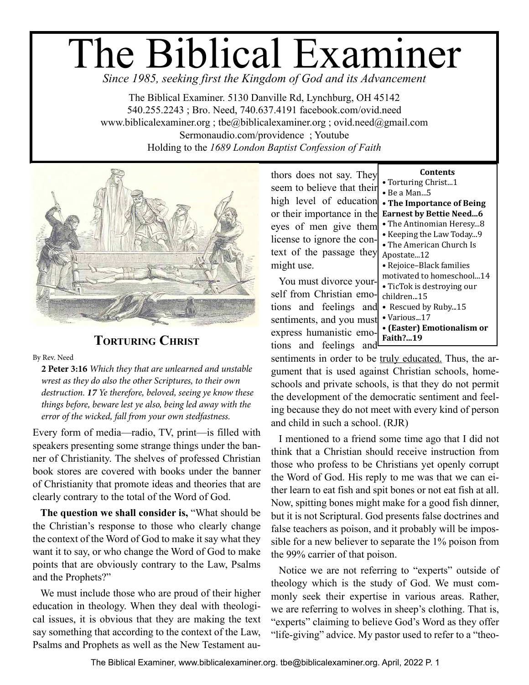# The Biblical Examiner *Since 1985, seeking first the Kingdom of God and its Advancement*

The Biblical Examiner. 5130 Danville Rd, Lynchburg, OH 45142 540.255.2243 ; Bro. Need, 740.637.4191 <facebook.com/ovid.need> <www.biblicalexaminer.org> ; [tbe@biblicalexaminer.org](mailto:tbe@biblicalexaminer.org) ; [ovid.need@gmail.com](mailto:ovid.need@gmail.com) <Sermonaudio.com/providence> ; Youtube Holding to the *1689 London Baptist Confession of Faith*



# **TORTURING CHRIST**

By Rev. Need

**2 Peter 3:16** *Which they that are unlearned and unstable wrest as they do also the other Scriptures, to their own destruction. 17 Ye therefore, beloved, seeing ye know these things before, beware lest ye also, being led away with the error of the wicked, fall from your own stedfastness.* 

Every form of media—radio, TV, print—is filled with speakers presenting some strange things under the banner of Christianity. The shelves of professed Christian book stores are covered with books under the banner of Christianity that promote ideas and theories that are clearly contrary to the total of the Word of God.

**The question we shall consider is,** "What should be the Christian's response to those who clearly change the context of the Word of God to make it say what they want it to say, or who change the Word of God to make points that are obviously contrary to the Law, Psalms and the Prophets?"

We must include those who are proud of their higher education in theology. When they deal with theological issues, it is obvious that they are making the text say something that according to the context of the Law, Psalms and Prophets as well as the New Testament au-

thors does not say. They seem to believe that their high level of education or their importance in the eyes of men give them license to ignore the context of the passage they might use.

You must divorce yourself from Christian emotions and feelings and sentiments, and you must express humanistic emotions and feelings and

| Contents                       |
|--------------------------------|
| • Torturing Christ1            |
| • Be a Man5                    |
| • The Importance of Being      |
| <b>Earnest by Bettie Need6</b> |
| • The Antinomian Heresy8       |
| • Keeping the Law Today9       |
| • The American Church Is       |
| Apostate12                     |
| • Rejoice-Black families       |
| motivated to homeschool14      |
| • TicTok is destroying our     |
| children…15                    |
| • Rescued by Ruby15            |
| · Various17                    |
| • (Easter) Emotionalism or     |
| Faith?…19                      |

sentiments in order to be truly educated. Thus, the argument that is used against Christian schools, homeschools and private schools, is that they do not permit the development of the democratic sentiment and feeling because they do not meet with every kind of person and child in such a school. (RJR)

I mentioned to a friend some time ago that I did not think that a Christian should receive instruction from those who profess to be Christians yet openly corrupt the Word of God. His reply to me was that we can either learn to eat fish and spit bones or not eat fish at all. Now, spitting bones might make for a good fish dinner, but it is not Scriptural. God presents false doctrines and false teachers as poison, and it probably will be impossible for a new believer to separate the 1% poison from the 99% carrier of that poison.

Notice we are not referring to "experts" outside of theology which is the study of God. We must commonly seek their expertise in various areas. Rather, we are referring to wolves in sheep's clothing. That is, "experts" claiming to believe God's Word as they offer "life-giving" advice. My pastor used to refer to a "theo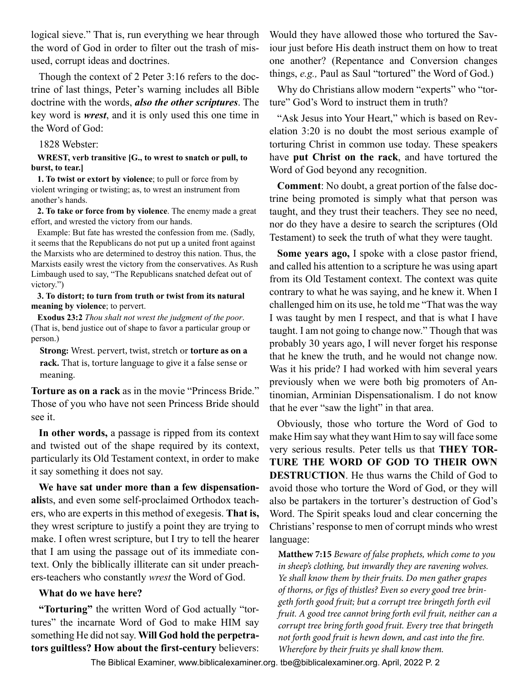logical sieve." That is, run everything we hear through the word of God in order to filter out the trash of misused, corrupt ideas and doctrines.

Though the context of 2 Peter 3:16 refers to the doctrine of last things, Peter's warning includes all Bible doctrine with the words, *also the other scriptures*. The key word is *wrest*, and it is only used this one time in the Word of God:

1828 Webster:

#### **WREST, verb transitive [G., to wrest to snatch or pull, to burst, to tear.]**

**1. To twist or extort by violence**; to pull or force from by violent wringing or twisting; as, to wrest an instrument from another's hands.

**2. To take or force from by violence**. The enemy made a great effort, and wrested the victory from our hands.

Example: But fate has wrested the confession from me. (Sadly, it seems that the Republicans do not put up a united front against the Marxists who are determined to destroy this nation. Thus, the Marxists easily wrest the victory from the conservatives. As Rush Limbaugh used to say, "The Republicans snatched defeat out of victory.")

**3. To distort; to turn from truth or twist from its natural meaning by violence**; to pervert.

**Exodus 23:2** *Thou shalt not wrest the judgment of the poor*. (That is, bend justice out of shape to favor a particular group or person.)

**Strong:** Wrest. pervert, twist, stretch or **torture as on a rack.** That is, torture language to give it a false sense or meaning.

**Torture as on a rack** as in the movie "Princess Bride." Those of you who have not seen Princess Bride should see it.

**In other words,** a passage is ripped from its context and twisted out of the shape required by its context, particularly its Old Testament context, in order to make it say something it does not say.

**We have sat under more than a few dispensationalis**ts, and even some self-proclaimed Orthodox teachers, who are experts in this method of exegesis. **That is,** they wrest scripture to justify a point they are trying to make. I often wrest scripture, but I try to tell the hearer that I am using the passage out of its immediate context. Only the biblically illiterate can sit under preachers-teachers who constantly *wrest* the Word of God.

#### **What do we have here?**

**"Torturing"** the written Word of God actually "tortures" the incarnate Word of God to make HIM say something He did not say. **Will God hold the perpetrators guiltless? How about the first-century** believers:

Would they have allowed those who tortured the Saviour just before His death instruct them on how to treat one another? (Repentance and Conversion changes things, *e.g.,* Paul as Saul "tortured" the Word of God.)

Why do Christians allow modern "experts" who "torture" God's Word to instruct them in truth?

"Ask Jesus into Your Heart," which is based on Revelation 3:20 is no doubt the most serious example of torturing Christ in common use today. These speakers have **put Christ on the rack**, and have tortured the Word of God beyond any recognition.

**Comment**: No doubt, a great portion of the false doctrine being promoted is simply what that person was taught, and they trust their teachers. They see no need, nor do they have a desire to search the scriptures (Old Testament) to seek the truth of what they were taught.

**Some years ago,** I spoke with a close pastor friend, and called his attention to a scripture he was using apart from its Old Testament context. The context was quite contrary to what he was saying, and he knew it. When I challenged him on its use, he told me "That was the way I was taught by men I respect, and that is what I have taught. I am not going to change now." Though that was probably 30 years ago, I will never forget his response that he knew the truth, and he would not change now. Was it his pride? I had worked with him several years previously when we were both big promoters of Antinomian, Arminian Dispensationalism. I do not know that he ever "saw the light" in that area.

Obviously, those who torture the Word of God to make Him say what they want Him to say will face some very serious results. Peter tells us that **THEY TOR-TURE THE WORD OF GOD TO THEIR OWN DESTRUCTION**. He thus warns the Child of God to avoid those who torture the Word of God, or they will also be partakers in the torturer's destruction of God's Word. The Spirit speaks loud and clear concerning the Christians' response to men of corrupt minds who wrest language:

**Matthew 7:15** *Beware of false prophets, which come to you in sheep's clothing, but inwardly they are ravening wolves. Ye shall know them by their fruits. Do men gather grapes of thorns, or figs of thistles? Even so every good tree bringeth forth good fruit; but a corrupt tree bringeth forth evil fruit. A good tree cannot bring forth evil fruit, neither can a corrupt tree bring forth good fruit. Every tree that bringeth not forth good fruit is hewn down, and cast into the fire. Wherefore by their fruits ye shall know them.*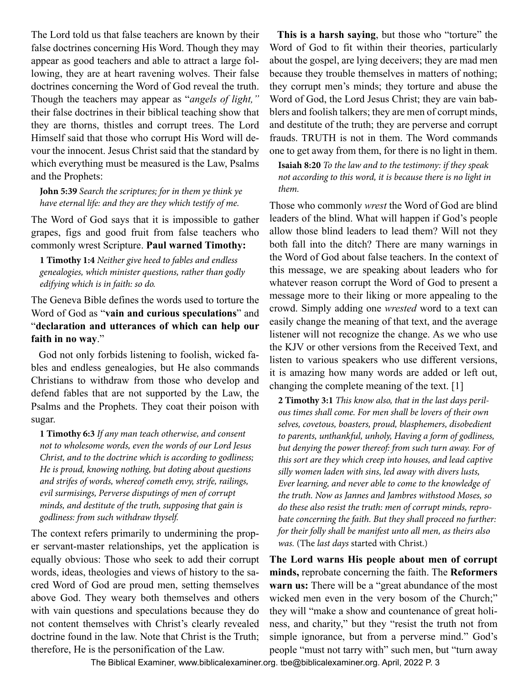The Lord told us that false teachers are known by their false doctrines concerning His Word. Though they may appear as good teachers and able to attract a large following, they are at heart ravening wolves. Their false doctrines concerning the Word of God reveal the truth. Though the teachers may appear as "*angels of light,"*  their false doctrines in their biblical teaching show that they are thorns, thistles and corrupt trees. The Lord Himself said that those who corrupt His Word will devour the innocent. Jesus Christ said that the standard by which everything must be measured is the Law, Psalms and the Prophets:

**John 5:39** *Search the scriptures; for in them ye think ye have eternal life: and they are they which testify of me.*

The Word of God says that it is impossible to gather grapes, figs and good fruit from false teachers who commonly wrest Scripture. **Paul warned Timothy:**

**1 Timothy 1:4** *Neither give heed to fables and endless genealogies, which minister questions, rather than godly edifying which is in faith: so do.*

The Geneva Bible defines the words used to torture the Word of God as "**vain and curious speculations**" and "**declaration and utterances of which can help our faith in no way**."

God not only forbids listening to foolish, wicked fables and endless genealogies, but He also commands Christians to withdraw from those who develop and defend fables that are not supported by the Law, the Psalms and the Prophets. They coat their poison with sugar.

**1 Timothy 6:3** *If any man teach otherwise, and consent not to wholesome words, even the words of our Lord Jesus Christ, and to the doctrine which is according to godliness; He is proud, knowing nothing, but doting about questions and strifes of words, whereof cometh envy, strife, railings, evil surmisings, Perverse disputings of men of corrupt minds, and destitute of the truth, supposing that gain is godliness: from such withdraw thyself.*

The context refers primarily to undermining the proper servant-master relationships, yet the application is equally obvious: Those who seek to add their corrupt words, ideas, theologies and views of history to the sacred Word of God are proud men, setting themselves above God. They weary both themselves and others with vain questions and speculations because they do not content themselves with Christ's clearly revealed doctrine found in the law. Note that Christ is the Truth; therefore, He is the personification of the Law.

**This is a harsh saying**, but those who "torture" the Word of God to fit within their theories, particularly about the gospel, are lying deceivers; they are mad men because they trouble themselves in matters of nothing; they corrupt men's minds; they torture and abuse the Word of God, the Lord Jesus Christ; they are vain babblers and foolish talkers; they are men of corrupt minds, and destitute of the truth; they are perverse and corrupt frauds. TRUTH is not in them. The Word commands one to get away from them, for there is no light in them.

**Isaiah 8:20** *To the law and to the testimony: if they speak not according to this word, it is because there is no light in them.*

Those who commonly *wrest* the Word of God are blind leaders of the blind. What will happen if God's people allow those blind leaders to lead them? Will not they both fall into the ditch? There are many warnings in the Word of God about false teachers. In the context of this message, we are speaking about leaders who for whatever reason corrupt the Word of God to present a message more to their liking or more appealing to the crowd. Simply adding one *wrested* word to a text can easily change the meaning of that text, and the average listener will not recognize the change. As we who use the KJV or other versions from the Received Text, and listen to various speakers who use different versions, it is amazing how many words are added or left out, changing the complete meaning of the text. [1]

**2 Timothy 3:1** *This know also, that in the last days perilous times shall come. For men shall be lovers of their own selves, covetous, boasters, proud, blasphemers, disobedient to parents, unthankful, unholy, Having a form of godliness, but denying the power thereof: from such turn away. For of this sort are they which creep into houses, and lead captive silly women laden with sins, led away with divers lusts, Ever learning, and never able to come to the knowledge of the truth. Now as Jannes and Jambres withstood Moses, so do these also resist the truth: men of corrupt minds, reprobate concerning the faith. But they shall proceed no further: for their folly shall be manifest unto all men, as theirs also was.* (The *last days* started with Christ.)

**The Lord warns His people about men of corrupt minds,** reprobate concerning the faith. The **Reformers warn us:** There will be a "great abundance of the most wicked men even in the very bosom of the Church;" they will "make a show and countenance of great holiness, and charity," but they "resist the truth not from simple ignorance, but from a perverse mind." God's people "must not tarry with" such men, but "turn away

The Biblical Examiner, <www.biblicalexaminer.org>. [tbe@biblicalexaminer.org](mailto:tbe@biblicalexaminer.org). April, 2022 P. 3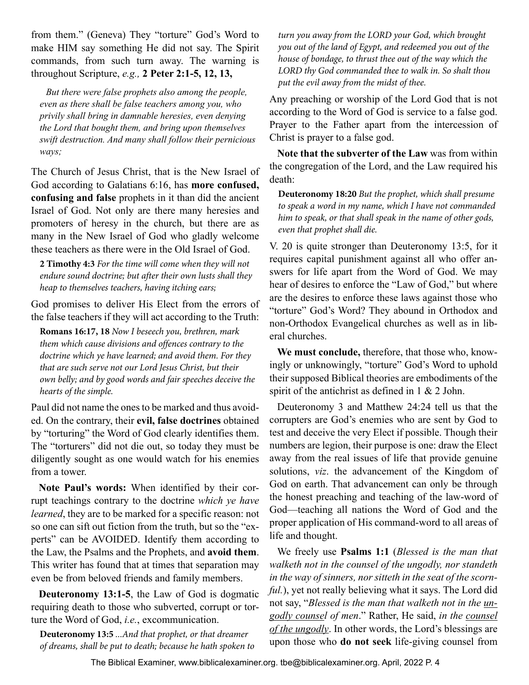from them." (Geneva) They "torture" God's Word to make HIM say something He did not say. The Spirit commands, from such turn away. The warning is throughout Scripture, *e.g.,* **2 Peter 2:1-5, 12, 13,**

*But there were false prophets also among the people, even as there shall be false teachers among you, who privily shall bring in damnable heresies, even denying the Lord that bought them, and bring upon themselves swift destruction. And many shall follow their pernicious ways;*

The Church of Jesus Christ, that is the New Israel of God according to Galatians 6:16, has **more confused, confusing and false** prophets in it than did the ancient Israel of God. Not only are there many heresies and promoters of heresy in the church, but there are as many in the New Israel of God who gladly welcome these teachers as there were in the Old Israel of God.

**2 Timothy 4:3** *For the time will come when they will not endure sound doctrine; but after their own lusts shall they heap to themselves teachers, having itching ears;*

God promises to deliver His Elect from the errors of the false teachers if they will act according to the Truth:

**Romans 16:17, 18** *Now I beseech you, brethren, mark them which cause divisions and offences contrary to the doctrine which ye have learned; and avoid them. For they that are such serve not our Lord Jesus Christ, but their own belly; and by good words and fair speeches deceive the hearts of the simple.*

Paul did not name the ones to be marked and thus avoided. On the contrary, their **evil, false doctrines** obtained by "torturing" the Word of God clearly identifies them. The "torturers" did not die out, so today they must be diligently sought as one would watch for his enemies from a tower.

**Note Paul's words:** When identified by their corrupt teachings contrary to the doctrine *which ye have learned*, they are to be marked for a specific reason: not so one can sift out fiction from the truth, but so the "experts" can be AVOIDED. Identify them according to the Law, the Psalms and the Prophets, and **avoid them**. This writer has found that at times that separation may even be from beloved friends and family members.

**Deuteronomy 13:1-5**, the Law of God is dogmatic requiring death to those who subverted, corrupt or torture the Word of God, *i.e.*, excommunication.

**Deuteronomy 13:5** *...And that prophet, or that dreamer of dreams, shall be put to death; because he hath spoken to*  *turn you away from the LORD your God, which brought you out of the land of Egypt, and redeemed you out of the house of bondage, to thrust thee out of the way which the LORD thy God commanded thee to walk in. So shalt thou put the evil away from the midst of thee.*

Any preaching or worship of the Lord God that is not according to the Word of God is service to a false god. Prayer to the Father apart from the intercession of Christ is prayer to a false god.

**Note that the subverter of the Law** was from within the congregation of the Lord, and the Law required his death:

**Deuteronomy 18:20** *But the prophet, which shall presume to speak a word in my name, which I have not commanded him to speak, or that shall speak in the name of other gods, even that prophet shall die.*

V. 20 is quite stronger than Deuteronomy 13:5, for it requires capital punishment against all who offer answers for life apart from the Word of God. We may hear of desires to enforce the "Law of God," but where are the desires to enforce these laws against those who "torture" God's Word? They abound in Orthodox and non-Orthodox Evangelical churches as well as in liberal churches.

**We must conclude,** therefore, that those who, knowingly or unknowingly, "torture" God's Word to uphold their supposed Biblical theories are embodiments of the spirit of the antichrist as defined in 1 & 2 John.

Deuteronomy 3 and Matthew 24:24 tell us that the corrupters are God's enemies who are sent by God to test and deceive the very Elect if possible. Though their numbers are legion, their purpose is one: draw the Elect away from the real issues of life that provide genuine solutions, *viz*. the advancement of the Kingdom of God on earth. That advancement can only be through the honest preaching and teaching of the law-word of God—teaching all nations the Word of God and the proper application of His command-word to all areas of life and thought.

We freely use **Psalms 1:1** (*Blessed is the man that walketh not in the counsel of the ungodly, nor standeth in the way of sinners, nor sitteth in the seat of the scornful.*), yet not really believing what it says. The Lord did not say, "*Blessed is the man that walketh not in the ungodly counsel of men*." Rather, He said, *in the counsel of the ungodly*. In other words, the Lord's blessings are upon those who **do not seek** life-giving counsel from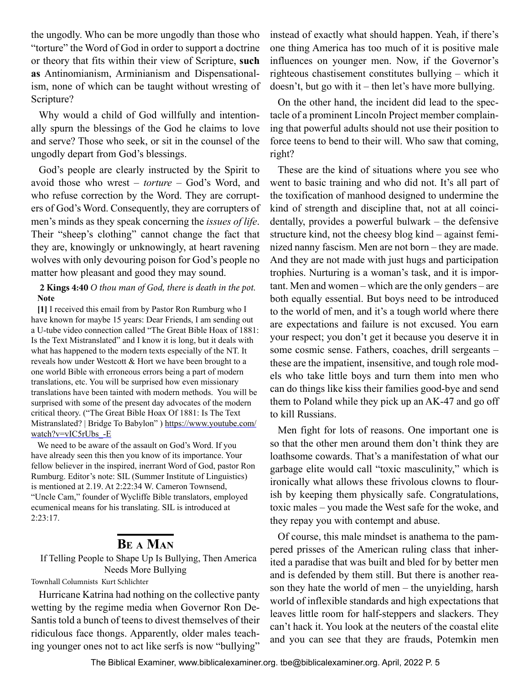<span id="page-4-0"></span>the ungodly. Who can be more ungodly than those who "torture" the Word of God in order to support a doctrine or theory that fits within their view of Scripture, **such as** Antinomianism, Arminianism and Dispensationalism, none of which can be taught without wresting of Scripture?

Why would a child of God willfully and intentionally spurn the blessings of the God he claims to love and serve? Those who seek, or sit in the counsel of the ungodly depart from God's blessings.

God's people are clearly instructed by the Spirit to avoid those who wrest – *torture* – God's Word, and who refuse correction by the Word. They are corrupters of God's Word. Consequently, they are corrupters of men's minds as they speak concerning the *issues of life*. Their "sheep's clothing" cannot change the fact that they are, knowingly or unknowingly, at heart ravening wolves with only devouring poison for God's people no matter how pleasant and good they may sound.

### **2 Kings 4:40** *O thou man of God, there is death in the pot.* **Note**

**[1]** I received this email from by Pastor Ron Rumburg who I have known for maybe 15 years: Dear Friends, I am sending out a U-tube video connection called "The Great Bible Hoax of 1881: Is the Text Mistranslated" and I know it is long, but it deals with what has happened to the modern texts especially of the NT. It reveals how under Westcott & Hort we have been brought to a one world Bible with erroneous errors being a part of modern translations, etc. You will be surprised how even missionary translations have been tainted with modern methods. You will be surprised with some of the present day advocates of the modern critical theory. ("The Great Bible Hoax Of 1881: Is The Text Mistranslated? | Bridge To Babylon" ) [https://www.youtube.com/](https://www.youtube.com/watch?v=vIC5rUbs_-E) [watch?v=vIC5rUbs\\_-E](https://www.youtube.com/watch?v=vIC5rUbs_-E)

We need to be aware of the assault on God's Word. If you have already seen this then you know of its importance. Your fellow believer in the inspired, inerrant Word of God, pastor Ron Rumburg. Editor's note: SIL (Summer Institute of Linguistics) is mentioned at 2.19. At 2:22:34 W. Cameron Townsend, "Uncle Cam," founder of Wycliffe Bible translators, employed ecumenical means for his translating. SIL is introduced at 2:23:17.

# **Be a Man**

# If Telling People to Shape Up Is Bullying, Then America Needs More Bullying

Townhall Columnists Kurt Schlichter

Hurricane Katrina had nothing on the collective panty wetting by the regime media when Governor Ron De-Santis told a bunch of teens to divest themselves of their ridiculous face thongs. Apparently, older males teaching younger ones not to act like serfs is now "bullying"

instead of exactly what should happen. Yeah, if there's one thing America has too much of it is positive male influences on younger men. Now, if the Governor's righteous chastisement constitutes bullying – which it doesn't, but go with it – then let's have more bullying.

On the other hand, the incident did lead to the spectacle of a prominent Lincoln Project member complaining that powerful adults should not use their position to force teens to bend to their will. Who saw that coming, right?

These are the kind of situations where you see who went to basic training and who did not. It's all part of the toxification of manhood designed to undermine the kind of strength and discipline that, not at all coincidentally, provides a powerful bulwark – the defensive structure kind, not the cheesy blog kind – against feminized nanny fascism. Men are not born – they are made. And they are not made with just hugs and participation trophies. Nurturing is a woman's task, and it is important. Men and women – which are the only genders – are both equally essential. But boys need to be introduced to the world of men, and it's a tough world where there are expectations and failure is not excused. You earn your respect; you don't get it because you deserve it in some cosmic sense. Fathers, coaches, drill sergeants – these are the impatient, insensitive, and tough role models who take little boys and turn them into men who can do things like kiss their families good-bye and send them to Poland while they pick up an AK-47 and go off to kill Russians.

Men fight for lots of reasons. One important one is so that the other men around them don't think they are loathsome cowards. That's a manifestation of what our garbage elite would call "toxic masculinity," which is ironically what allows these frivolous clowns to flourish by keeping them physically safe. Congratulations, toxic males – you made the West safe for the woke, and they repay you with contempt and abuse.

Of course, this male mindset is anathema to the pampered prisses of the American ruling class that inherited a paradise that was built and bled for by better men and is defended by them still. But there is another reason they hate the world of men – the unyielding, harsh world of inflexible standards and high expectations that leaves little room for half-steppers and slackers. They can't hack it. You look at the neuters of the coastal elite and you can see that they are frauds, Potemkin men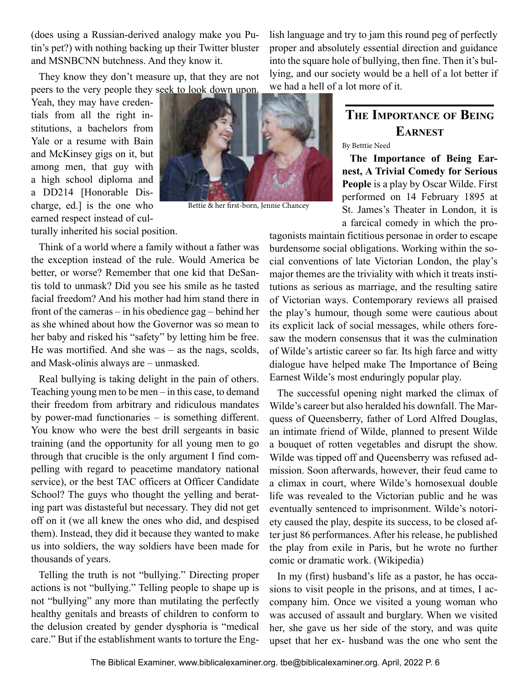<span id="page-5-0"></span>(does using a Russian-derived analogy make you Putin's pet?) with nothing backing up their Twitter bluster and MSNBCNN butchness. And they know it.

They know they don't measure up, that they are not peers to the very people they seek to look down upon.

Yeah, they may have credentials from all the right institutions, a bachelors from Yale or a resume with Bain and McKinsey gigs on it, but among men, that guy with a high school diploma and a DD214 [Honorable Discharge, ed.] is the one who earned respect instead of culturally inherited his social position.



Bettie & her first-born, Jennie Chancey

lish language and try to jam this round peg of perfectly proper and absolutely essential direction and guidance into the square hole of bullying, then fine. Then it's bullying, and our society would be a hell of a lot better if we had a hell of a lot more of it.

# **The Importance of Being Earnest**

#### By Betttie Need

**The Importance of Being Earnest, A Trivial Comedy for Serious People** is a play by Oscar Wilde. First performed on 14 February 1895 at St. James's Theater in London, it is a farcical comedy in which the pro-

Think of a world where a family without a father was the exception instead of the rule. Would America be better, or worse? Remember that one kid that DeSantis told to unmask? Did you see his smile as he tasted facial freedom? And his mother had him stand there in front of the cameras – in his obedience gag – behind her as she whined about how the Governor was so mean to her baby and risked his "safety" by letting him be free. He was mortified. And she was – as the nags, scolds, and Mask-olinis always are – unmasked.

Real bullying is taking delight in the pain of others. Teaching young men to be men – in this case, to demand their freedom from arbitrary and ridiculous mandates by power-mad functionaries – is something different. You know who were the best drill sergeants in basic training (and the opportunity for all young men to go through that crucible is the only argument I find compelling with regard to peacetime mandatory national service), or the best TAC officers at Officer Candidate School? The guys who thought the yelling and berating part was distasteful but necessary. They did not get off on it (we all knew the ones who did, and despised them). Instead, they did it because they wanted to make us into soldiers, the way soldiers have been made for thousands of years.

Telling the truth is not "bullying." Directing proper actions is not "bullying." Telling people to shape up is not "bullying" any more than mutilating the perfectly healthy genitals and breasts of children to conform to the delusion created by gender dysphoria is "medical care." But if the establishment wants to torture the Engtagonists maintain fictitious personae in order to escape burdensome social obligations. Working within the social conventions of late Victorian London, the play's major themes are the triviality with which it treats institutions as serious as marriage, and the resulting satire of Victorian ways. Contemporary reviews all praised the play's humour, though some were cautious about its explicit lack of social messages, while others foresaw the modern consensus that it was the culmination of Wilde's artistic career so far. Its high farce and witty dialogue have helped make The Importance of Being Earnest Wilde's most enduringly popular play.

The successful opening night marked the climax of Wilde's career but also heralded his downfall. The Marquess of Queensberry, father of Lord Alfred Douglas, an intimate friend of Wilde, planned to present Wilde a bouquet of rotten vegetables and disrupt the show. Wilde was tipped off and Queensberry was refused admission. Soon afterwards, however, their feud came to a climax in court, where Wilde's homosexual double life was revealed to the Victorian public and he was eventually sentenced to imprisonment. Wilde's notoriety caused the play, despite its success, to be closed after just 86 performances. After his release, he published the play from exile in Paris, but he wrote no further comic or dramatic work. (Wikipedia)

In my (first) husband's life as a pastor, he has occasions to visit people in the prisons, and at times, I accompany him. Once we visited a young woman who was accused of assault and burglary. When we visited her, she gave us her side of the story, and was quite upset that her ex- husband was the one who sent the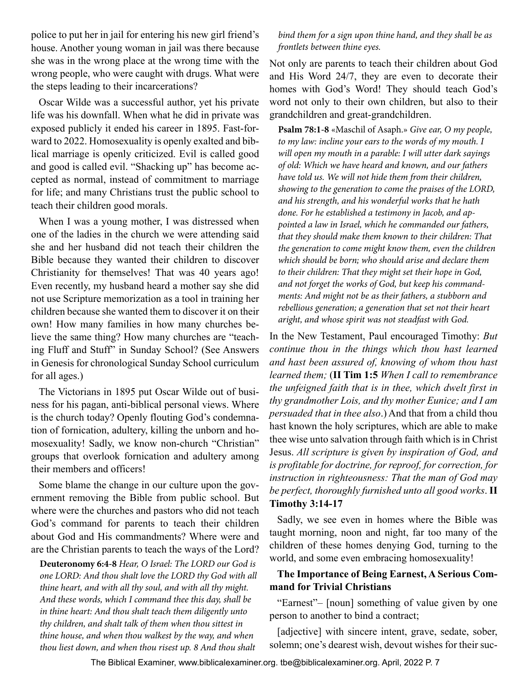police to put her in jail for entering his new girl friend's house. Another young woman in jail was there because she was in the wrong place at the wrong time with the wrong people, who were caught with drugs. What were the steps leading to their incarcerations?

Oscar Wilde was a successful author, yet his private life was his downfall. When what he did in private was exposed publicly it ended his career in 1895. Fast-forward to 2022. Homosexuality is openly exalted and biblical marriage is openly criticized. Evil is called good and good is called evil. "Shacking up" has become accepted as normal, instead of commitment to marriage for life; and many Christians trust the public school to teach their children good morals.

When I was a young mother, I was distressed when one of the ladies in the church we were attending said she and her husband did not teach their children the Bible because they wanted their children to discover Christianity for themselves! That was 40 years ago! Even recently, my husband heard a mother say she did not use Scripture memorization as a tool in training her children because she wanted them to discover it on their own! How many families in how many churches believe the same thing? How many churches are "teaching Fluff and Stuff" in Sunday School? (See Answers in Genesis for chronological Sunday School curriculum for all ages.)

The Victorians in 1895 put Oscar Wilde out of business for his pagan, anti-biblical personal views. Where is the church today? Openly flouting God's condemnation of fornication, adultery, killing the unborn and homosexuality! Sadly, we know non-church "Christian" groups that overlook fornication and adultery among their members and officers!

Some blame the change in our culture upon the government removing the Bible from public school. But where were the churches and pastors who did not teach God's command for parents to teach their children about God and His commandments? Where were and are the Christian parents to teach the ways of the Lord?

**Deuteronomy 6:4-8** *Hear, O Israel: The LORD our God is one LORD: And thou shalt love the LORD thy God with all thine heart, and with all thy soul, and with all thy might. And these words, which I command thee this day, shall be in thine heart: And thou shalt teach them diligently unto thy children, and shalt talk of them when thou sittest in thine house, and when thou walkest by the way, and when thou liest down, and when thou risest up. 8 And thou shalt* 

*bind them for a sign upon thine hand, and they shall be as frontlets between thine eyes.*

Not only are parents to teach their children about God and His Word 24/7, they are even to decorate their homes with God's Word! They should teach God's word not only to their own children, but also to their grandchildren and great-grandchildren.

**Psalm 78:1-8** «Maschil of Asaph.» *Give ear, O my people, to my law: incline your ears to the words of my mouth. I will open my mouth in a parable: I will utter dark sayings of old: Which we have heard and known, and our fathers have told us. We will not hide them from their children, showing to the generation to come the praises of the LORD, and his strength, and his wonderful works that he hath done. For he established a testimony in Jacob, and appointed a law in Israel, which he commanded our fathers, that they should make them known to their children: That the generation to come might know them, even the children which should be born; who should arise and declare them to their children: That they might set their hope in God, and not forget the works of God, but keep his commandments: And might not be as their fathers, a stubborn and rebellious generation; a generation that set not their heart aright, and whose spirit was not steadfast with God.*

In the New Testament, Paul encouraged Timothy: *But continue thou in the things which thou hast learned and hast been assured of, knowing of whom thou hast learned them;* (**II Tim 1:5** *When I call to remembrance the unfeigned faith that is in thee, which dwelt first in thy grandmother Lois, and thy mother Eunice; and I am persuaded that in thee also*.) And that from a child thou hast known the holy scriptures, which are able to make thee wise unto salvation through faith which is in Christ Jesus. *All scripture is given by inspiration of God, and is profitable for doctrine, for reproof, for correction, for instruction in righteousness: That the man of God may be perfect, thoroughly furnished unto all good works*. **II Timothy 3:14-17** 

Sadly, we see even in homes where the Bible was taught morning, noon and night, far too many of the children of these homes denying God, turning to the world, and some even embracing homosexuality!

# **The Importance of Being Earnest, A Serious Command for Trivial Christians**

"Earnest"– [noun] something of value given by one person to another to bind a contract;

[adjective] with sincere intent, grave, sedate, sober, solemn; one's dearest wish, devout wishes for their suc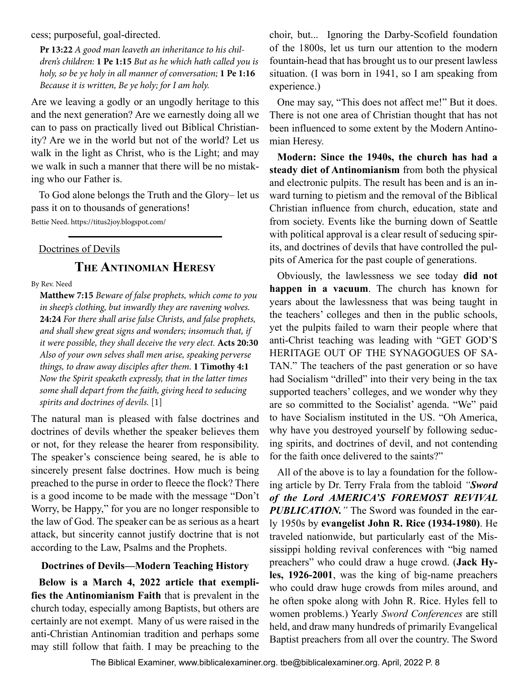<span id="page-7-0"></span>cess; purposeful, goal-directed.

**Pr 13:22** *A good man leaveth an inheritance to his children's children:* **1 Pe 1:15** *But as he which hath called you is holy, so be ye holy in all manner of conversation;* **1 Pe 1:16** *Because it is written, Be ye holy; for I am holy.*

Are we leaving a godly or an ungodly heritage to this and the next generation? Are we earnestly doing all we can to pass on practically lived out Biblical Christianity? Are we in the world but not of the world? Let us walk in the light as Christ, who is the Light; and may we walk in such a manner that there will be no mistaking who our Father is.

To God alone belongs the Truth and the Glory– let us pass it on to thousands of generations!

Bettie Need. https://titus2joy.blogspot.com/

#### Doctrines of Devils

# **The Antinomian Heresy**

By Rev. Need

**Matthew 7:15** *Beware of false prophets, which come to you in sheep's clothing, but inwardly they are ravening wolves.*  **24:24** *For there shall arise false Christs, and false prophets, and shall shew great signs and wonders; insomuch that, if it were possible, they shall deceive the very elect.* **Acts 20:30** *Also of your own selves shall men arise, speaking perverse things, to draw away disciples after them.* **1 Timothy 4:1**  *Now the Spirit speaketh expressly, that in the latter times some shall depart from the faith, giving heed to seducing spirits and doctrines of devils.* [1]

The natural man is pleased with false doctrines and doctrines of devils whether the speaker believes them or not, for they release the hearer from responsibility. The speaker's conscience being seared, he is able to sincerely present false doctrines. How much is being preached to the purse in order to fleece the flock? There is a good income to be made with the message "Don't Worry, be Happy," for you are no longer responsible to the law of God. The speaker can be as serious as a heart attack, but sincerity cannot justify doctrine that is not according to the Law, Psalms and the Prophets.

#### **Doctrines of Devils—Modern Teaching History**

**Below is a March 4, 2022 article that exemplifies the Antinomianism Faith** that is prevalent in the church today, especially among Baptists, but others are certainly are not exempt. Many of us were raised in the anti-Christian Antinomian tradition and perhaps some may still follow that faith. I may be preaching to the

choir, but... Ignoring the Darby-Scofield foundation of the 1800s, let us turn our attention to the modern fountain-head that has brought us to our present lawless situation. (I was born in 1941, so I am speaking from experience.)

One may say, "This does not affect me!" But it does. There is not one area of Christian thought that has not been influenced to some extent by the Modern Antinomian Heresy.

**Modern: Since the 1940s, the church has had a steady diet of Antinomianism** from both the physical and electronic pulpits. The result has been and is an inward turning to pietism and the removal of the Biblical Christian influence from church, education, state and from society. Events like the burning down of Seattle with political approval is a clear result of seducing spirits, and doctrines of devils that have controlled the pulpits of America for the past couple of generations.

Obviously, the lawlessness we see today **did not happen in a vacuum**. The church has known for years about the lawlessness that was being taught in the teachers' colleges and then in the public schools, yet the pulpits failed to warn their people where that anti-Christ teaching was leading with "GET GOD'S HERITAGE OUT OF THE SYNAGOGUES OF SA-TAN." The teachers of the past generation or so have had Socialism "drilled" into their very being in the tax supported teachers' colleges, and we wonder why they are so committed to the Socialist' agenda. "We" paid to have Socialism instituted in the US. "Oh America, why have you destroyed yourself by following seducing spirits, and doctrines of devil, and not contending for the faith once delivered to the saints?"

All of the above is to lay a foundation for the following article by Dr. Terry Frala from the tabloid *"Sword of the Lord AMERICA'S FOREMOST REVIVAL PUBLICATION."* The Sword was founded in the early 1950s by **evangelist John R. Rice (1934-1980)**. He traveled nationwide, but particularly east of the Mississippi holding revival conferences with "big named preachers" who could draw a huge crowd. (**Jack Hyles, 1926-2001**, was the king of big-name preachers who could draw huge crowds from miles around, and he often spoke along with John R. Rice. Hyles fell to women problems.) Yearly *Sword Conferences* are still held, and draw many hundreds of primarily Evangelical Baptist preachers from all over the country. The Sword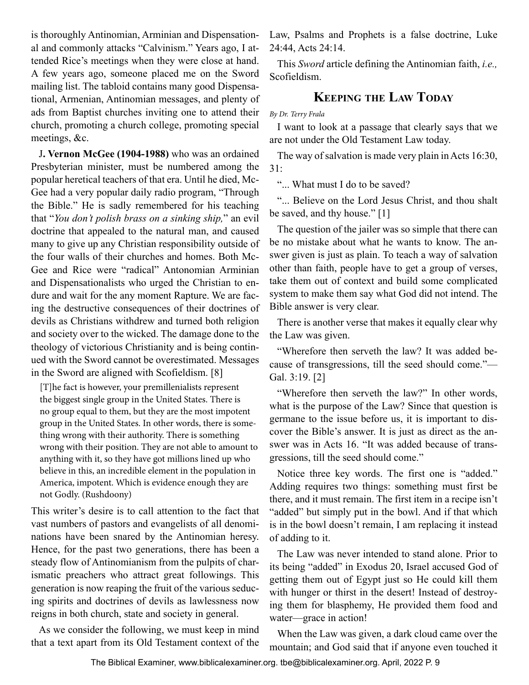<span id="page-8-0"></span>is thoroughly Antinomian, Arminian and Dispensational and commonly attacks "Calvinism." Years ago, I attended Rice's meetings when they were close at hand. A few years ago, someone placed me on the Sword mailing list. The tabloid contains many good Dispensational, Armenian, Antinomian messages, and plenty of ads from Baptist churches inviting one to attend their church, promoting a church college, promoting special meetings, &c.

J**. Vernon McGee (1904-1988)** who was an ordained Presbyterian minister, must be numbered among the popular heretical teachers of that era. Until he died, Mc-Gee had a very popular daily radio program, "Through the Bible." He is sadly remembered for his teaching that "*You don't polish brass on a sinking ship,*" an evil doctrine that appealed to the natural man, and caused many to give up any Christian responsibility outside of the four walls of their churches and homes. Both Mc-Gee and Rice were "radical" Antonomian Arminian and Dispensationalists who urged the Christian to endure and wait for the any moment Rapture. We are facing the destructive consequences of their doctrines of devils as Christians withdrew and turned both religion and society over to the wicked. The damage done to the theology of victorious Christianity and is being continued with the Sword cannot be overestimated. Messages in the Sword are aligned with Scofieldism. [8]

[T]he fact is however, your premillenialists represent the biggest single group in the United States. There is no group equal to them, but they are the most impotent group in the United States. In other words, there is something wrong with their authority. There is something wrong with their position. They are not able to amount to anything with it, so they have got millions lined up who believe in this, an incredible element in the population in America, impotent. Which is evidence enough they are not Godly. (Rushdoony)

This writer's desire is to call attention to the fact that vast numbers of pastors and evangelists of all denominations have been snared by the Antinomian heresy. Hence, for the past two generations, there has been a steady flow of Antinomianism from the pulpits of charismatic preachers who attract great followings. This generation is now reaping the fruit of the various seducing spirits and doctrines of devils as lawlessness now reigns in both church, state and society in general.

As we consider the following, we must keep in mind that a text apart from its Old Testament context of the Law, Psalms and Prophets is a false doctrine, Luke 24:44, Acts 24:14.

This *Sword* article defining the Antinomian faith, *i.e.,*  Scofieldism.

# **Keeping the Law Today**

*By Dr. Terry Frala*

I want to look at a passage that clearly says that we are not under the Old Testament Law today.

The way of salvation is made very plain in Acts 16:30, 31:

"... What must I do to be saved?

"... Believe on the Lord Jesus Christ, and thou shalt be saved, and thy house." [1]

The question of the jailer was so simple that there can be no mistake about what he wants to know. The answer given is just as plain. To teach a way of salvation other than faith, people have to get a group of verses, take them out of context and build some complicated system to make them say what God did not intend. The Bible answer is very clear.

There is another verse that makes it equally clear why the Law was given.

"Wherefore then serveth the law? It was added because of transgressions, till the seed should come."— Gal. 3:19. [2]

"Wherefore then serveth the law?" In other words, what is the purpose of the Law? Since that question is germane to the issue before us, it is important to discover the Bible's answer. It is just as direct as the answer was in Acts 16. "It was added because of transgressions, till the seed should come."

Notice three key words. The first one is "added." Adding requires two things: something must first be there, and it must remain. The first item in a recipe isn't "added" but simply put in the bowl. And if that which is in the bowl doesn't remain, I am replacing it instead of adding to it.

The Law was never intended to stand alone. Prior to its being "added" in Exodus 20, Israel accused God of getting them out of Egypt just so He could kill them with hunger or thirst in the desert! Instead of destroying them for blasphemy, He provided them food and water—grace in action!

When the Law was given, a dark cloud came over the mountain; and God said that if anyone even touched it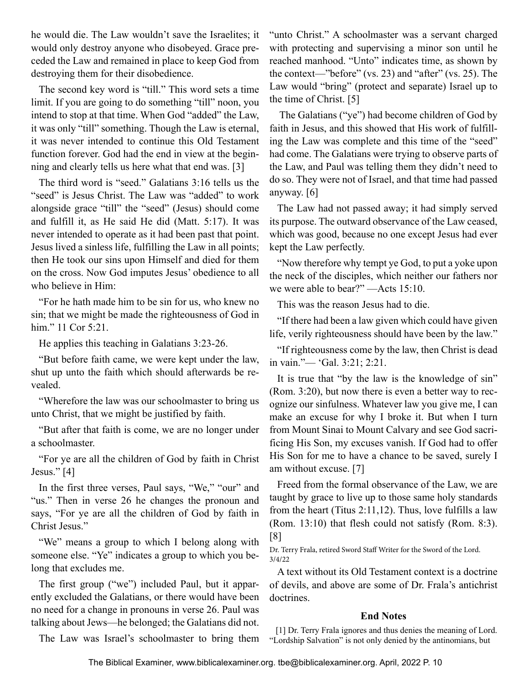he would die. The Law wouldn't save the Israelites; it would only destroy anyone who disobeyed. Grace preceded the Law and remained in place to keep God from destroying them for their disobedience.

The second key word is "till." This word sets a time limit. If you are going to do something "till" noon, you intend to stop at that time. When God "added" the Law, it was only "till" something. Though the Law is eternal, it was never intended to continue this Old Testament function forever. God had the end in view at the beginning and clearly tells us here what that end was. [3]

The third word is "seed." Galatians 3:16 tells us the "seed" is Jesus Christ. The Law was "added" to work alongside grace "till" the "seed" (Jesus) should come and fulfill it, as He said He did (Matt. 5:17). It was never intended to operate as it had been past that point. Jesus lived a sinless life, fulfilling the Law in all points; then He took our sins upon Himself and died for them on the cross. Now God imputes Jesus' obedience to all who believe in Him:

"For he hath made him to be sin for us, who knew no sin; that we might be made the righteousness of God in him." 11 Cor 5:21.

He applies this teaching in Galatians 3:23-26.

"But before faith came, we were kept under the law, shut up unto the faith which should afterwards be revealed.

"Wherefore the law was our schoolmaster to bring us unto Christ, that we might be justified by faith.

"But after that faith is come, we are no longer under a schoolmaster.

"For ye are all the children of God by faith in Christ Jesus." [4]

In the first three verses, Paul says, "We," "our" and "us." Then in verse 26 he changes the pronoun and says, "For ye are all the children of God by faith in Christ Jesus."

"We" means a group to which I belong along with someone else. "Ye" indicates a group to which you belong that excludes me.

The first group ("we") included Paul, but it apparently excluded the Galatians, or there would have been no need for a change in pronouns in verse 26. Paul was talking about Jews—he belonged; the Galatians did not. "unto Christ." A schoolmaster was a servant charged with protecting and supervising a minor son until he reached manhood. "Unto" indicates time, as shown by the context—"before" (vs. 23) and "after" (vs. 25). The Law would "bring" (protect and separate) Israel up to the time of Christ. [5]

 The Galatians ("ye") had become children of God by faith in Jesus, and this showed that His work of fulfilling the Law was complete and this time of the "seed" had come. The Galatians were trying to observe parts of the Law, and Paul was telling them they didn't need to do so. They were not of Israel, and that time had passed anyway. [6]

The Law had not passed away; it had simply served its purpose. The outward observance of the Law ceased, which was good, because no one except Jesus had ever kept the Law perfectly.

"Now therefore why tempt ye God, to put a yoke upon the neck of the disciples, which neither our fathers nor we were able to bear?" —Acts 15:10.

This was the reason Jesus had to die.

"If there had been a law given which could have given life, verily righteousness should have been by the law."

"If righteousness come by the law, then Christ is dead in vain."— 'Gal. 3:21; 2:21.

It is true that "by the law is the knowledge of sin" (Rom. 3:20), but now there is even a better way to recognize our sinfulness. Whatever law you give me, I can make an excuse for why I broke it. But when I turn from Mount Sinai to Mount Calvary and see God sacrificing His Son, my excuses vanish. If God had to offer His Son for me to have a chance to be saved, surely I am without excuse. [7]

Freed from the formal observance of the Law, we are taught by grace to live up to those same holy standards from the heart (Titus 2:11,12). Thus, love fulfills a law (Rom. 13:10) that flesh could not satisfy (Rom. 8:3). [8]

Dr. Terry Frala, retired Sword Staff Writer for the Sword of the Lord. 3/4/22

A text without its Old Testament context is a doctrine of devils, and above are some of Dr. Frala's antichrist doctrines.

### **End Notes**

[1] Dr. Terry Frala ignores and thus denies the meaning of Lord. "Lordship Salvation" is not only denied by the antinomians, but

The Law was Israel's schoolmaster to bring them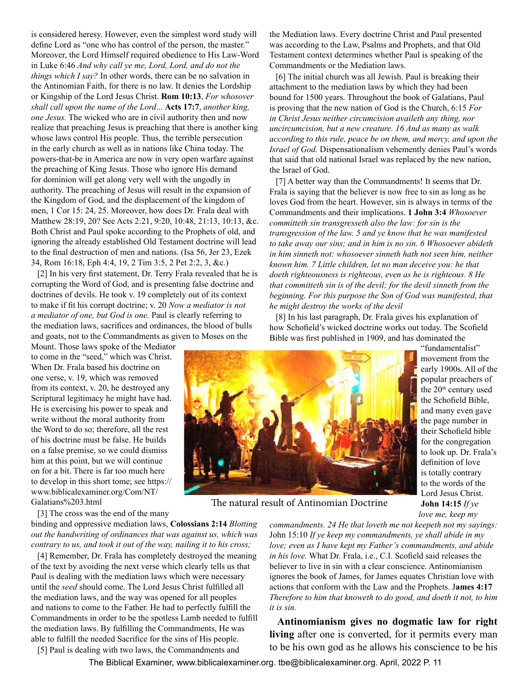is considered heresy. However, even the simplest word study will define Lord as "one who has control of the person, the master." Moreover, the Lord Himself required obedience to His Law-Word in Luke 6:46 *And why call ye me, Lord, Lord, and do not the things which I say?* In other words, there can be no salvation in the Antinomian Faith, for there is no law. It denies the Lordship or Kingship of the Lord Jesus Christ. **Rom 10:13**, *For whosover shall call upon the name of the Lord*... **Acts 17:7**, *another king, one Jesus.* The wicked who are in civil authority then and now realize that preaching Jesus is preaching that there is another king whose laws control His people. Thus, the terrible persecution in the early church as well as in nations like China today. The powers-that-be in America are now in very open warfare against the preaching of King Jesus. Those who ignore His demand for dominion will get along very well with the ungodly in authority. The preaching of Jesus will result in the expansion of the Kingdom of God, and the displacement of the kingdom of men, 1 Cor 15: 24, 25. Moreover, how does Dr. Frala deal with Matthew 28:19, 20? See Acts 2:21, 9:20, 10:48, 21:13, 10:13, &c. Both Christ and Paul spoke according to the Prophets of old, and ignoring the already established Old Testament doctrine will lead to the final destruction of men and nations. (Isa 56, Jer 23, Ezek 34, Rom 16:18, Eph 4:4, 19, 2 Tim 3:5, 2 Pet 2:2, 3, &c.)

[2] In his very first statement, Dr. Terry Frala revealed that he is corrupting the Word of God, and is presenting false doctrine and doctrines of devils. He took v. 19 completely out of its context to make if fit his corrupt doctrine; v. 20 *Now a mediator is not a mediator of one, but God is one.* Paul is clearly referring to the mediation laws, sacrifices and ordinances, the blood of bulls and goats, not to the Commandments as given to Moses on the

Mount. Those laws spoke of the Mediator to come in the "seed," which was Christ. When Dr. Frala based his doctrine on one verse, v. 19, which was removed from its context, v. 20, he destroyed any Scriptural legitimacy he might have had. He is exercising his power to speak and write without the moral authority from the Word to do so; therefore, all the rest of his doctrine must be false. He builds on a false premise, so we could dismiss him at this point, but we will continue on for a bit. There is far too much here to develop in this short tome; see https:// www.biblicalexaminer.org/Com/NT/ Galatians%203.html

[3] The cross was the end of the many

binding and oppressive mediation laws, **Colossians 2:14** *Blotting out the handwriting of ordinances that was against us, which was contrary to us, and took it out of the way, nailing it to his cross;*

[4] Remember, Dr. Frala has completely destroyed the meaning of the text by avoiding the next verse which clearly tells us that Paul is dealing with the mediation laws which were necessary until the *seed* should come. The Lord Jesus Christ fulfilled all the mediation laws, and the way was opened for all peoples and nations to come to the Father. He had to perfectly fulfill the Commandments in order to be the spotless Lamb needed to fulfill the mediation laws. By fulfilling the Commandments, He was able to fulfill the needed Sacrifice for the sins of His people.

[5] Paul is dealing with two laws, the Commandments and

the Mediation laws. Every doctrine Christ and Paul presented was according to the Law, Psalms and Prophets, and that Old Testament context determines whether Paul is speaking of the Commandments or the Mediation laws.

[6] The initial church was all Jewish. Paul is breaking their attachment to the mediation laws by which they had been bound for 1500 years. Throughout the book of Galatians, Paul is proving that the new nation of God is the Church, 6:15 *For in Christ Jesus neither circumcision availeth any thing, nor uncircumcision, but a new creature. 16 And as many as walk according to this rule, peace be on them, and mercy, and upon the Israel of God.* Dispensationalism vehemently denies Paul's words that said that old national Israel was replaced by the new nation, the Israel of God.

[7] A better way than the Commandments! It seems that Dr. Frala is saying that the believer is now free to sin as long as he loves God from the heart. However, sin is always in terms of the Commandments and their implications. **1 John 3:4** *Whosoever committeth sin transgresseth also the law: for sin is the transgression of the law. 5 and ye know that he was manifested to take away our sins; and in him is no sin. 6 Whosoever abideth in him sinneth not: whosoever sinneth hath not seen him, neither known him. 7 Little children, let no man deceive you: he that doeth righteousness is righteous, even as he is righteous. 8 He that committeth sin is of the devil; for the devil sinneth from the beginning. For this purpose the Son of God was manifested, that he might destroy the works of the devil* 

[8] In his last paragraph, Dr. Frala gives his explanation of how Schofield's wicked doctrine works out today. The Scofield Bible was first published in 1909, and has dominated the



The natural result of Antinomian Doctrine

*commandments. 24 He that loveth me not keepeth not my sayings:* John 15:10 *If ye keep my commandments, ye shall abide in my love; even as I have kept my Father's commandments, and abide in his love.* What Dr. Frala, i.e., C.I. Scofield said releases the believer to live in sin with a clear conscience. Antinomianism ignores the book of James, for James equates Christian love with actions that conform with the Law and the Prophets. J**ames 4:17** *Therefore to him that knoweth to do good, and doeth it not, to him it is sin.*

**Antinomianism gives no dogmatic law for right living** after one is converted, for it permits every man to be his own god as he allows his conscience to be his

The Biblical Examiner, [www.biblicalexaminer.org.](www.biblicalexaminer.org) [tbe@biblicalexaminer.org.](mailto:tbe@biblicalexaminer.org) April, 2022 P. 11

to the words of the Lord Jesus Christ. **John 14:15** *If ye love me, keep my* 

"fundamentalist" movement from the early 1900s. All of the popular preachers of the 20<sup>th</sup> century used the Schofield Bible, and many even gave the page number in their Schofield bible for the congregation to look up. Dr. Frala's definition of love is totally contrary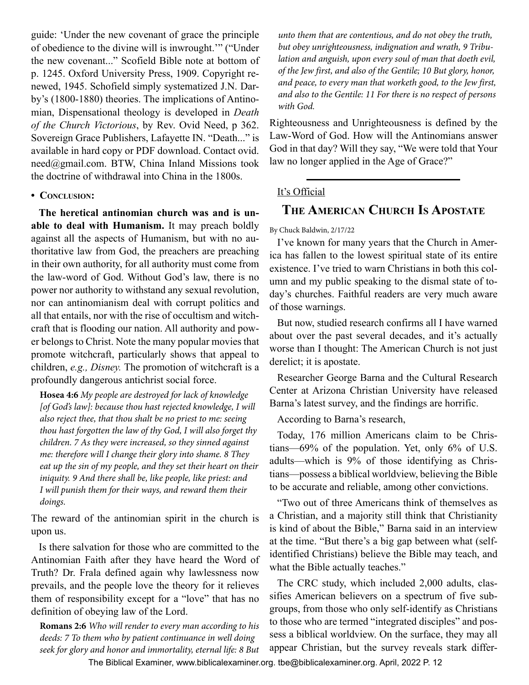<span id="page-11-0"></span>guide: 'Under the new covenant of grace the principle of obedience to the divine will is inwrought.'" ("Under the new covenant..." Scofield Bible note at bottom of p. 1245. Oxford University Press, 1909. Copyright renewed, 1945. Schofield simply systematized J.N. Darby's (1800-1880) theories. The implications of Antinomian, Dispensational theology is developed in *Death of the Church Victorious*, by Rev. Ovid Need, p 362. Sovereign Grace Publishers, Lafayette IN. "Death..." is available in hard copy or PDF download. Contact ovid. need@gmail.com. BTW, China Inland Missions took the doctrine of withdrawal into China in the 1800s.

#### **• Conclusion:**

**The heretical antinomian church was and is unable to deal with Humanism.** It may preach boldly against all the aspects of Humanism, but with no authoritative law from God, the preachers are preaching in their own authority, for all authority must come from the law-word of God. Without God's law, there is no power nor authority to withstand any sexual revolution, nor can antinomianism deal with corrupt politics and all that entails, nor with the rise of occultism and witchcraft that is flooding our nation. All authority and power belongs to Christ. Note the many popular movies that promote witchcraft, particularly shows that appeal to children, *e.g., Disney.* The promotion of witchcraft is a profoundly dangerous antichrist social force.

**Hosea 4:6** *My people are destroyed for lack of knowledge [of God's law]: because thou hast rejected knowledge, I will also reject thee, that thou shalt be no priest to me: seeing thou hast forgotten the law of thy God, I will also forget thy children. 7 As they were increased, so they sinned against me: therefore will I change their glory into shame. 8 They eat up the sin of my people, and they set their heart on their iniquity. 9 And there shall be, like people, like priest: and I will punish them for their ways, and reward them their doings.*

The reward of the antinomian spirit in the church is upon us.

Is there salvation for those who are committed to the Antinomian Faith after they have heard the Word of Truth? Dr. Frala defined again why lawlessness now prevails, and the people love the theory for it relieves them of responsibility except for a "love" that has no definition of obeying law of the Lord.

**Romans 2:6** *Who will render to every man according to his deeds: 7 To them who by patient continuance in well doing seek for glory and honor and immortality, eternal life: 8 But*  *unto them that are contentious, and do not obey the truth, but obey unrighteousness, indignation and wrath, 9 Tribulation and anguish, upon every soul of man that doeth evil, of the Jew first, and also of the Gentile; 10 But glory, honor, and peace, to every man that worketh good, to the Jew first, and also to the Gentile: 11 For there is no respect of persons with God.*

Righteousness and Unrighteousness is defined by the Law-Word of God. How will the Antinomians answer God in that day? Will they say, "We were told that Your law no longer applied in the Age of Grace?"

# It's Official

# **The American Church Is Apostate**

By Chuck Baldwin, 2/17/22

I've known for many years that the Church in America has fallen to the lowest spiritual state of its entire existence. I've tried to warn Christians in both this column and my public speaking to the dismal state of today's churches. Faithful readers are very much aware of those warnings.

But now, studied research confirms all I have warned about over the past several decades, and it's actually worse than I thought: The American Church is not just derelict; it is apostate.

Researcher George Barna and the Cultural Research Center at Arizona Christian University have released Barna's latest survey, and the findings are horrific.

According to Barna's research,

Today, 176 million Americans claim to be Christians—69% of the population. Yet, only 6% of U.S. adults—which is 9% of those identifying as Christians—possess a biblical worldview, believing the Bible to be accurate and reliable, among other convictions.

"Two out of three Americans think of themselves as a Christian, and a majority still think that Christianity is kind of about the Bible," Barna said in an interview at the time. "But there's a big gap between what (selfidentified Christians) believe the Bible may teach, and what the Bible actually teaches."

The CRC study, which included 2,000 adults, classifies American believers on a spectrum of five subgroups, from those who only self-identify as Christians to those who are termed "integrated disciples" and possess a biblical worldview. On the surface, they may all appear Christian, but the survey reveals stark differ-

The Biblical Examiner,<www.biblicalexaminer.org>. [tbe@biblicalexaminer.org](mailto:tbe@biblicalexaminer.org). April, 2022 P. 12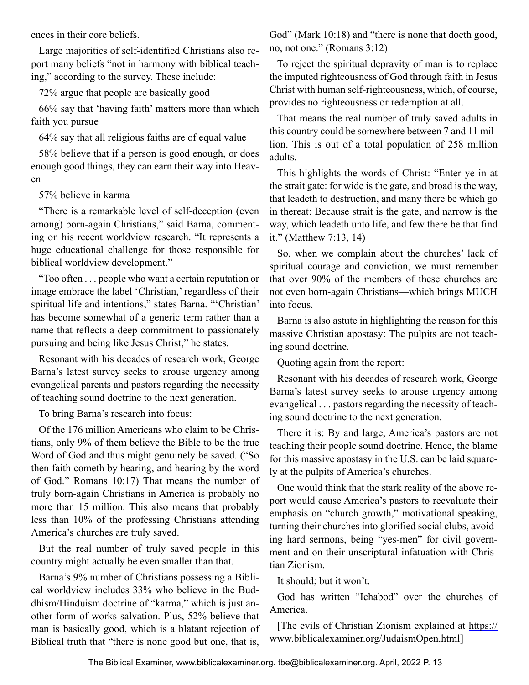ences in their core beliefs.

Large majorities of self-identified Christians also report many beliefs "not in harmony with biblical teaching," according to the survey. These include:

72% argue that people are basically good

66% say that 'having faith' matters more than which faith you pursue

64% say that all religious faiths are of equal value

58% believe that if a person is good enough, or does enough good things, they can earn their way into Heaven

57% believe in karma

"There is a remarkable level of self-deception (even among) born-again Christians," said Barna, commenting on his recent worldview research. "It represents a huge educational challenge for those responsible for biblical worldview development."

"Too often . . . people who want a certain reputation or image embrace the label 'Christian,' regardless of their spiritual life and intentions," states Barna. "'Christian' has become somewhat of a generic term rather than a name that reflects a deep commitment to passionately pursuing and being like Jesus Christ," he states.

Resonant with his decades of research work, George Barna's latest survey seeks to arouse urgency among evangelical parents and pastors regarding the necessity of teaching sound doctrine to the next generation.

To bring Barna's research into focus:

Of the 176 million Americans who claim to be Christians, only 9% of them believe the Bible to be the true Word of God and thus might genuinely be saved. ("So then faith cometh by hearing, and hearing by the word of God." Romans 10:17) That means the number of truly born-again Christians in America is probably no more than 15 million. This also means that probably less than 10% of the professing Christians attending America's churches are truly saved.

But the real number of truly saved people in this country might actually be even smaller than that.

Barna's 9% number of Christians possessing a Biblical worldview includes 33% who believe in the Buddhism/Hinduism doctrine of "karma," which is just another form of works salvation. Plus, 52% believe that man is basically good, which is a blatant rejection of Biblical truth that "there is none good but one, that is,

God" (Mark 10:18) and "there is none that doeth good, no, not one." (Romans 3:12)

To reject the spiritual depravity of man is to replace the imputed righteousness of God through faith in Jesus Christ with human self-righteousness, which, of course, provides no righteousness or redemption at all.

That means the real number of truly saved adults in this country could be somewhere between 7 and 11 million. This is out of a total population of 258 million adults.

This highlights the words of Christ: "Enter ye in at the strait gate: for wide is the gate, and broad is the way, that leadeth to destruction, and many there be which go in thereat: Because strait is the gate, and narrow is the way, which leadeth unto life, and few there be that find it." (Matthew 7:13, 14)

So, when we complain about the churches' lack of spiritual courage and conviction, we must remember that over 90% of the members of these churches are not even born-again Christians—which brings MUCH into focus.

Barna is also astute in highlighting the reason for this massive Christian apostasy: The pulpits are not teaching sound doctrine.

Quoting again from the report:

Resonant with his decades of research work, George Barna's latest survey seeks to arouse urgency among evangelical . . . pastors regarding the necessity of teaching sound doctrine to the next generation.

There it is: By and large, America's pastors are not teaching their people sound doctrine. Hence, the blame for this massive apostasy in the U.S. can be laid squarely at the pulpits of America's churches.

One would think that the stark reality of the above report would cause America's pastors to reevaluate their emphasis on "church growth," motivational speaking, turning their churches into glorified social clubs, avoiding hard sermons, being "yes-men" for civil government and on their unscriptural infatuation with Christian Zionism.

It should; but it won't.

God has written "Ichabod" over the churches of America.

[The evils of Christian Zionism explained at [https://](https://www.biblicalexaminer.org/JudaismOpen.html) [www.biblicalexaminer.org/JudaismOpen.html\]](https://www.biblicalexaminer.org/JudaismOpen.html)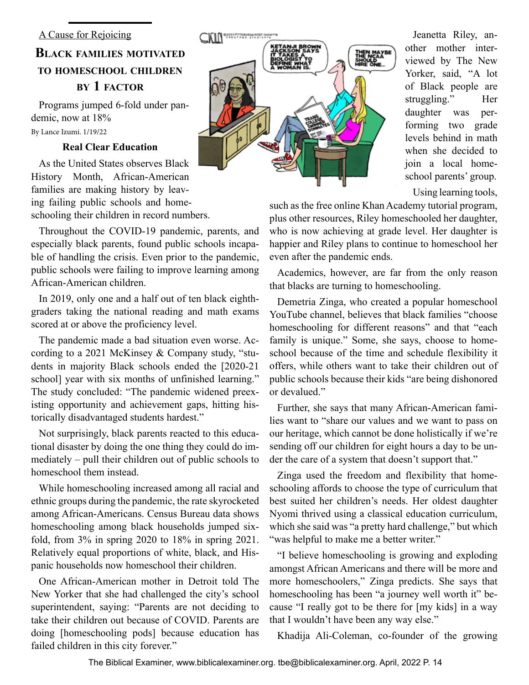# <span id="page-13-0"></span>**Black families motivated to homeschool children by 1 factor**

Programs jumped 6-fold under pandemic, now at 18% By Lance Izumi. 1/19/22

# **Real Clear Education**

As the United States observes Black History Month, African-American families are making history by leaving failing public schools and homeschooling their children in record numbers.

Throughout the COVID-19 pandemic, parents, and especially black parents, found public schools incapable of handling the crisis. Even prior to the pandemic, public schools were failing to improve learning among African-American children.

In 2019, only one and a half out of ten black eighthgraders taking the national reading and math exams scored at or above the proficiency level.

The pandemic made a bad situation even worse. According to a 2021 McKinsey & Company study, "students in majority Black schools ended the [2020-21 school] year with six months of unfinished learning." The study concluded: "The pandemic widened preexisting opportunity and achievement gaps, hitting historically disadvantaged students hardest."

Not surprisingly, black parents reacted to this educational disaster by doing the one thing they could do immediately – pull their children out of public schools to homeschool them instead.

While homeschooling increased among all racial and ethnic groups during the pandemic, the rate skyrocketed among African-Americans. Census Bureau data shows homeschooling among black households jumped sixfold, from 3% in spring 2020 to 18% in spring 2021. Relatively equal proportions of white, black, and Hispanic households now homeschool their children.

One African-American mother in Detroit told The New Yorker that she had challenged the city's school superintendent, saying: "Parents are not deciding to take their children out because of COVID. Parents are doing [homeschooling pods] because education has failed children in this city forever."



Jeanetta Riley, another mother interviewed by The New Yorker, said, "A lot of Black people are struggling." Her daughter was performing two grade levels behind in math when she decided to join a local homeschool parents' group.

Using learning tools,

such as the free online Khan Academy tutorial program, plus other resources, Riley homeschooled her daughter, who is now achieving at grade level. Her daughter is happier and Riley plans to continue to homeschool her even after the pandemic ends.

Academics, however, are far from the only reason that blacks are turning to homeschooling.

Demetria Zinga, who created a popular homeschool YouTube channel, believes that black families "choose homeschooling for different reasons" and that "each family is unique." Some, she says, choose to homeschool because of the time and schedule flexibility it offers, while others want to take their children out of public schools because their kids "are being dishonored or devalued."

Further, she says that many African-American families want to "share our values and we want to pass on our heritage, which cannot be done holistically if we're sending off our children for eight hours a day to be under the care of a system that doesn't support that."

Zinga used the freedom and flexibility that homeschooling affords to choose the type of curriculum that best suited her children's needs. Her oldest daughter Nyomi thrived using a classical education curriculum, which she said was "a pretty hard challenge," but which "was helpful to make me a better writer."

"I believe homeschooling is growing and exploding amongst African Americans and there will be more and more homeschoolers," Zinga predicts. She says that homeschooling has been "a journey well worth it" because "I really got to be there for [my kids] in a way that I wouldn't have been any way else."

Khadija Ali-Coleman, co-founder of the growing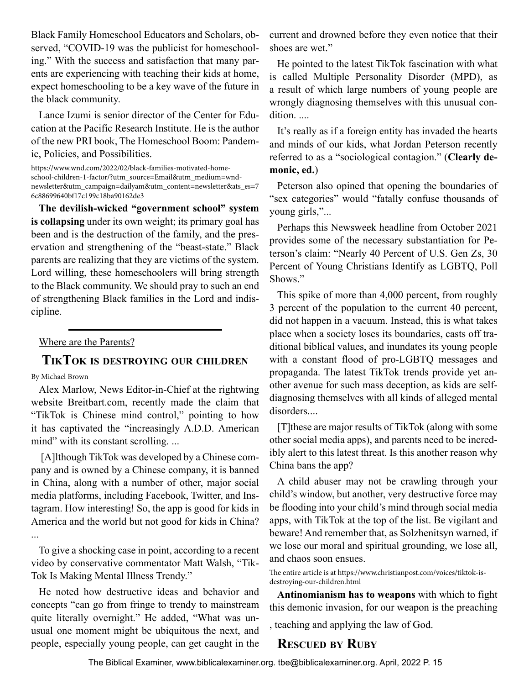<span id="page-14-0"></span>Black Family Homeschool Educators and Scholars, observed, "COVID-19 was the publicist for homeschooling." With the success and satisfaction that many parents are experiencing with teaching their kids at home, expect homeschooling to be a key wave of the future in the black community.

Lance Izumi is senior director of the Center for Education at the Pacific Research Institute. He is the author of the new PRI book, The Homeschool Boom: Pandemic, Policies, and Possibilities.

https://www.wnd.com/2022/02/black-families-motivated-homeschool-children-1-factor/?utm\_source=Email&utm\_medium=wndnewsletter&utm\_campaign=dailyam&utm\_content=newsletter&ats\_es=7 6c88699640bf17c199c18ba90162de3

**The devilish-wicked "government school" system is collapsing** under its own weight; its primary goal has been and is the destruction of the family, and the preservation and strengthening of the "beast-state." Black parents are realizing that they are victims of the system. Lord willing, these homeschoolers will bring strength to the Black community. We should pray to such an end of strengthening Black families in the Lord and indiscipline.

Where are the Parents?

# **TikTok is destroying our children**

#### By Michael Brown

Alex Marlow, News Editor-in-Chief at the rightwing website Breitbart.com, recently made the claim that "TikTok is Chinese mind control," pointing to how it has captivated the "increasingly A.D.D. American mind" with its constant scrolling....

 [A]lthough TikTok was developed by a Chinese company and is owned by a Chinese company, it is banned in China, along with a number of other, major social media platforms, including Facebook, Twitter, and Instagram. How interesting! So, the app is good for kids in America and the world but not good for kids in China? ...

To give a shocking case in point, according to a recent video by conservative commentator Matt Walsh, "Tik-Tok Is Making Mental Illness Trendy."

He noted how destructive ideas and behavior and concepts "can go from fringe to trendy to mainstream quite literally overnight." He added, "What was unusual one moment might be ubiquitous the next, and people, especially young people, can get caught in the

current and drowned before they even notice that their shoes are wet."

He pointed to the latest TikTok fascination with what is called Multiple Personality Disorder (MPD), as a result of which large numbers of young people are wrongly diagnosing themselves with this unusual condition....

It's really as if a foreign entity has invaded the hearts and minds of our kids, what Jordan Peterson recently referred to as a "sociological contagion." (**Clearly demonic, ed.**)

Peterson also opined that opening the boundaries of "sex categories" would "fatally confuse thousands of young girls,"...

Perhaps this Newsweek headline from October 2021 provides some of the necessary substantiation for Peterson's claim: "Nearly 40 Percent of U.S. Gen Zs, 30 Percent of Young Christians Identify as LGBTQ, Poll Shows."

This spike of more than 4,000 percent, from roughly 3 percent of the population to the current 40 percent, did not happen in a vacuum. Instead, this is what takes place when a society loses its boundaries, casts off traditional biblical values, and inundates its young people with a constant flood of pro-LGBTQ messages and propaganda. The latest TikTok trends provide yet another avenue for such mass deception, as kids are selfdiagnosing themselves with all kinds of alleged mental disorders....

[T]these are major results of TikTok (along with some other social media apps), and parents need to be incredibly alert to this latest threat. Is this another reason why China bans the app?

A child abuser may not be crawling through your child's window, but another, very destructive force may be flooding into your child's mind through social media apps, with TikTok at the top of the list. Be vigilant and beware! And remember that, as Solzhenitsyn warned, if we lose our moral and spiritual grounding, we lose all, and chaos soon ensues.

The entire article is at https://www.christianpost.com/voices/tiktok-isdestroying-our-children.html

**Antinomianism has to weapons** with which to fight this demonic invasion, for our weapon is the preaching

, teaching and applying the law of God.

# **Rescued by Ruby**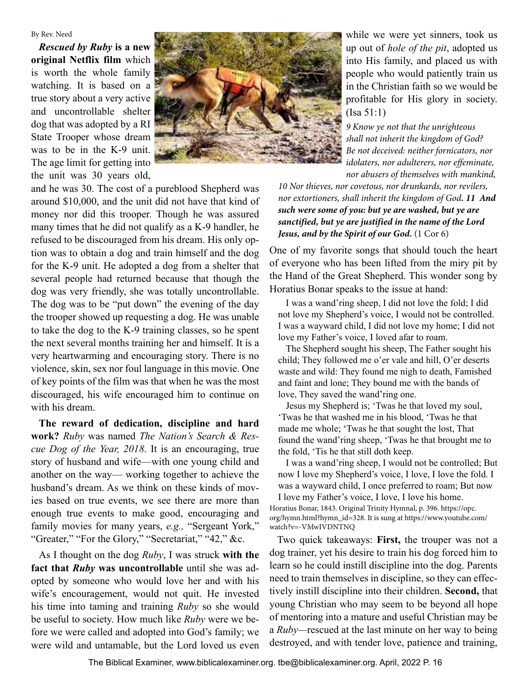#### By Rev. Need

*Rescued by Ruby* **is a new original Netflix film** which is worth the whole family watching. It is based on a true story about a very active and uncontrollable shelter dog that was adopted by a RI State Trooper whose dream was to be in the K-9 unit. The age limit for getting into the unit was 30 years old,



and he was 30. The cost of a pureblood Shepherd was around \$10,000, and the unit did not have that kind of money nor did this trooper. Though he was assured many times that he did not qualify as a K-9 handler, he refused to be discouraged from his dream. His only option was to obtain a dog and train himself and the dog for the K-9 unit. He adopted a dog from a shelter that several people had returned because that though the dog was very friendly, she was totally uncontrollable. The dog was to be "put down" the evening of the day the trooper showed up requesting a dog. He was unable to take the dog to the K-9 training classes, so he spent the next several months training her and himself. It is a very heartwarming and encouraging story. There is no violence, skin, sex nor foul language in this movie. One of key points of the film was that when he was the most discouraged, his wife encouraged him to continue on with his dream.

**The reward of dedication, discipline and hard work?** *Ruby* was named *The Nation's Search & Rescue Dog of the Year, 2018*. It is an encouraging, true story of husband and wife—with one young child and another on the way— working together to achieve the husband's dream. As we think on these kinds of movies based on true events, we see there are more than enough true events to make good, encouraging and family movies for many years, *e.g.,* "Sergeant York," "Greater," "For the Glory," "Secretariat," "42," &c.

As I thought on the dog *Ruby*, I was struck **with the fact that** *Ruby* **was uncontrollable** until she was adopted by someone who would love her and with his wife's encouragement, would not quit. He invested his time into taming and training *Ruby* so she would be useful to society. How much like *Ruby* were we before we were called and adopted into God's family; we were wild and untamable, but the Lord loved us even

while we were yet sinners, took us up out of *hole of the pit*, adopted us into His family, and placed us with people who would patiently train us in the Christian faith so we would be profitable for His glory in society. (Isa 51:1)

*9 Know ye not that the unrighteous shall not inherit the kingdom of God? Be not deceived: neither fornicators, nor idolaters, nor adulterers, nor effeminate, nor abusers of themselves with mankind,* 

*10 Nor thieves, nor covetous, nor drunkards, nor revilers, nor extortioners, shall inherit the kingdom of God. 11 And such were some of you: but ye are washed, but ye are sanctified, but ye are justified in the name of the Lord Jesus, and by the Spirit of our God***.** (1 Cor 6)

One of my favorite songs that should touch the heart of everyone who has been lifted from the miry pit by the Hand of the Great Shepherd. This wonder song by Horatius Bonar speaks to the issue at hand:

I was a wand'ring sheep, I did not love the fold; I did not love my Shepherd's voice, I would not be controlled. I was a wayward child, I did not love my home; I did not love my Father's voice, I loved afar to roam.

The Shepherd sought his sheep, The Father sought his child; They followed me o'er vale and hill, O'er deserts waste and wild: They found me nigh to death, Famished and faint and lone; They bound me with the bands of love, They saved the wand'ring one.

Jesus my Shepherd is; 'Twas he that loved my soul, 'Twas he that washed me in his blood, 'Twas he that made me whole; 'Twas he that sought the lost, That found the wand'ring sheep, 'Twas he that brought me to the fold, 'Tis he that still doth keep.

I was a wand'ring sheep, I would not be controlled; But now I love my Shepherd's voice, I love, I love the fold. I was a wayward child, I once preferred to roam; But now I love my Father's voice, I love, I love his home. Horatius Bonar, 1843. Original Trinity Hymnal, p. 396. https://opc. org/hymn.html?hymn\_id=328. It is sung at https://www.youtube.com/ watch?v=-VMwIVDNTNQ

Two quick takeaways: **First,** the trouper was not a dog trainer, yet his desire to train his dog forced him to learn so he could instill discipline into the dog. Parents need to train themselves in discipline, so they can effectively instill discipline into their children. **Second,** that young Christian who may seem to be beyond all hope of mentoring into a mature and useful Christian may be a *Ruby—*rescued at the last minute on her way to being destroyed, and with tender love, patience and training,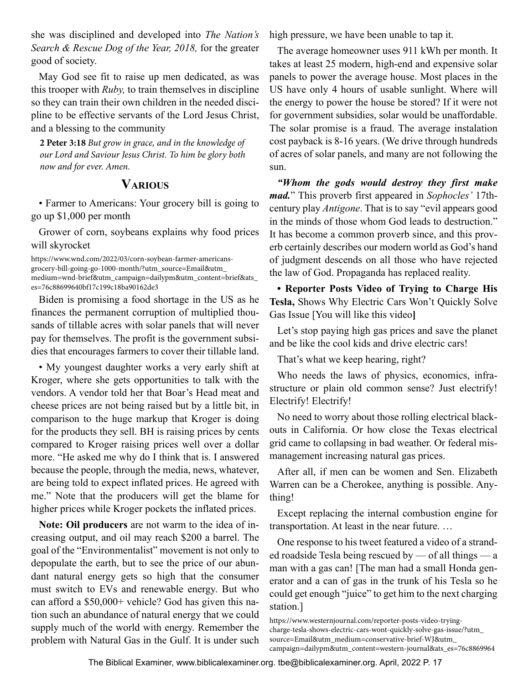<span id="page-16-0"></span>she was disciplined and developed into *The Nation's Search & Rescue Dog of the Year, 2018,* for the greater good of society.

May God see fit to raise up men dedicated, as was this trooper with *Ruby,* to train themselves in discipline so they can train their own children in the needed discipline to be effective servants of the Lord Jesus Christ, and a blessing to the community

**2 Peter 3:18** *But grow in grace, and in the knowledge of our Lord and Saviour Jesus Christ. To him be glory both now and for ever. Amen.*

# **Various**

• Farmer to Americans: Your grocery bill is going to go up \$1,000 per month

Grower of corn, soybeans explains why food prices will skyrocket

https://www.wnd.com/2022/03/corn-soybean-farmer-americansgrocery-bill-going-go-1000-month/?utm\_source=Email&utm\_ medium=wnd-brief&utm\_campaign=dailypm&utm\_content=brief&ats\_ es=76c88699640bf17c199c18ba90162de3

Biden is promising a food shortage in the US as he finances the permanent corruption of multiplied thousands of tillable acres with solar panels that will never pay for themselves. The profit is the government subsidies that encourages farmers to cover their tillable land.

• My youngest daughter works a very early shift at Kroger, where she gets opportunities to talk with the vendors. A vendor told her that Boar's Head meat and cheese prices are not being raised but by a little bit, in comparison to the huge markup that Kroger is doing for the products they sell. BH is raising prices by cents compared to Kroger raising prices well over a dollar more. "He asked me why do I think that is. I answered because the people, through the media, news, whatever, are being told to expect inflated prices. He agreed with me." Note that the producers will get the blame for higher prices while Kroger pockets the inflated prices.

**Note: Oil producers** are not warm to the idea of increasing output, and oil may reach \$200 a barrel. The goal of the "Environmentalist" movement is not only to depopulate the earth, but to see the price of our abundant natural energy gets so high that the consumer must switch to EVs and renewable energy. But who can afford a \$50,000+ vehicle? God has given this nation such an abundance of natural energy that we could supply much of the world with energy. Remember the problem with Natural Gas in the Gulf. It is under such high pressure, we have been unable to tap it.

The average homeowner uses 911 kWh per month. It takes at least 25 modern, high-end and expensive solar panels to power the average house. Most places in the US have only 4 hours of usable sunlight. Where will the energy to power the house be stored? If it were not for government subsidies, solar would be unaffordable. The solar promise is a fraud. The average instalation cost payback is 8-16 years. (We drive through hundreds of acres of solar panels, and many are not following the sun.

*"Whom the gods would destroy they first make mad.*" This proverb first appeared in *Sophocles'* 17thcentury play *Antigone*. That is to say "evil appears good in the minds of those whom God leads to destruction." It has become a common proverb since, and this proverb certainly describes our modern world as God's hand of judgment descends on all those who have rejected the law of God. Propaganda has replaced reality.

**• Reporter Posts Video of Trying to Charge His Tesla,** Shows Why Electric Cars Won't Quickly Solve Gas Issue [You will like this video**]**

Let's stop paying high gas prices and save the planet and be like the cool kids and drive electric cars!

That's what we keep hearing, right?

Who needs the laws of physics, economics, infrastructure or plain old common sense? Just electrify! Electrify! Electrify!

No need to worry about those rolling electrical blackouts in California. Or how close the Texas electrical grid came to collapsing in bad weather. Or federal mismanagement increasing natural gas prices.

After all, if men can be women and Sen. Elizabeth Warren can be a Cherokee, anything is possible. Anything!

Except replacing the internal combustion engine for transportation. At least in the near future. …

One response to his tweet featured a video of a stranded roadside Tesla being rescued by — of all things — a man with a gas can! [The man had a small Honda generator and a can of gas in the trunk of his Tesla so he could get enough "juice" to get him to the next charging station.]

https://www.westernjournal.com/reporter-posts-video-tryingcharge-tesla-shows-electric-cars-wont-quickly-solve-gas-issue/?utm\_ source=Email&utm\_medium=conservative-brief-WJ&utm\_ campaign=dailypm&utm\_content=western-journal&ats\_es=76c8869964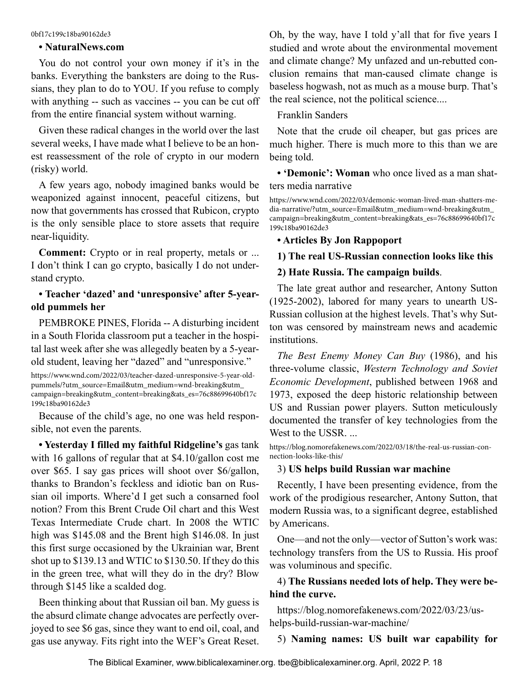#### 0bf17c199c18ba90162de3

#### **• NaturalNews.com**

You do not control your own money if it's in the banks. Everything the banksters are doing to the Russians, they plan to do to YOU. If you refuse to comply with anything -- such as vaccines -- you can be cut off from the entire financial system without warning.

Given these radical changes in the world over the last several weeks, I have made what I believe to be an honest reassessment of the role of crypto in our modern (risky) world.

A few years ago, nobody imagined banks would be weaponized against innocent, peaceful citizens, but now that governments has crossed that Rubicon, crypto is the only sensible place to store assets that require near-liquidity.

**Comment:** Crypto or in real property, metals or ... I don't think I can go crypto, basically I do not understand crypto.

### **• Teacher 'dazed' and 'unresponsive' after 5-yearold pummels her**

PEMBROKE PINES, Florida -- A disturbing incident in a South Florida classroom put a teacher in the hospital last week after she was allegedly beaten by a 5-yearold student, leaving her "dazed" and "unresponsive."

https://www.wnd.com/2022/03/teacher-dazed-unresponsive-5-year-oldpummels/?utm\_source=Email&utm\_medium=wnd-breaking&utm\_ campaign=breaking&utm\_content=breaking&ats\_es=76c88699640bf17c 199c18ba90162de3

Because of the child's age, no one was held responsible, not even the parents.

**• Yesterday I filled my faithful Ridgeline's** gas tank with 16 gallons of regular that at \$4.10/gallon cost me over \$65. I say gas prices will shoot over \$6/gallon, thanks to Brandon's feckless and idiotic ban on Russian oil imports. Where'd I get such a consarned fool notion? From this Brent Crude Oil chart and this West Texas Intermediate Crude chart. In 2008 the WTIC high was \$145.08 and the Brent high \$146.08. In just this first surge occasioned by the Ukrainian war, Brent shot up to \$139.13 and WTIC to \$130.50. If they do this in the green tree, what will they do in the dry? Blow through \$145 like a scalded dog.

Been thinking about that Russian oil ban. My guess is the absurd climate change advocates are perfectly overjoyed to see \$6 gas, since they want to end oil, coal, and gas use anyway. Fits right into the WEF's Great Reset. Oh, by the way, have I told y'all that for five years I studied and wrote about the environmental movement and climate change? My unfazed and un-rebutted conclusion remains that man-caused climate change is baseless hogwash, not as much as a mouse burp. That's the real science, not the political science....

### Franklin Sanders

Note that the crude oil cheaper, but gas prices are much higher. There is much more to this than we are being told.

**• 'Demonic': Woman** who once lived as a man shatters media narrative

https://www.wnd.com/2022/03/demonic-woman-lived-man-shatters-media-narrative/?utm\_source=Email&utm\_medium=wnd-breaking&utm\_ campaign=breaking&utm\_content=breaking&ats\_es=76c88699640bf17c 199c18ba90162de3

**• Articles By Jon Rappoport**

### **1) The real US-Russian connection looks like this**

### **2) Hate Russia. The campaign builds**.

The late great author and researcher, Antony Sutton (1925-2002), labored for many years to unearth US-Russian collusion at the highest levels. That's why Sutton was censored by mainstream news and academic institutions.

*The Best Enemy Money Can Buy* (1986), and his three-volume classic, *Western Technology and Soviet Economic Development*, published between 1968 and 1973, exposed the deep historic relationship between US and Russian power players. Sutton meticulously documented the transfer of key technologies from the West to the USSR. ...

https://blog.nomorefakenews.com/2022/03/18/the-real-us-russian-connection-looks-like-this/

#### 3) **US helps build Russian war machine**

Recently, I have been presenting evidence, from the work of the prodigious researcher, Antony Sutton, that modern Russia was, to a significant degree, established by Americans.

One—and not the only—vector of Sutton's work was: technology transfers from the US to Russia. His proof was voluminous and specific.

# 4) **The Russians needed lots of help. They were behind the curve.**

https://blog.nomorefakenews.com/2022/03/23/ushelps-build-russian-war-machine/

# 5) **Naming names: US built war capability for**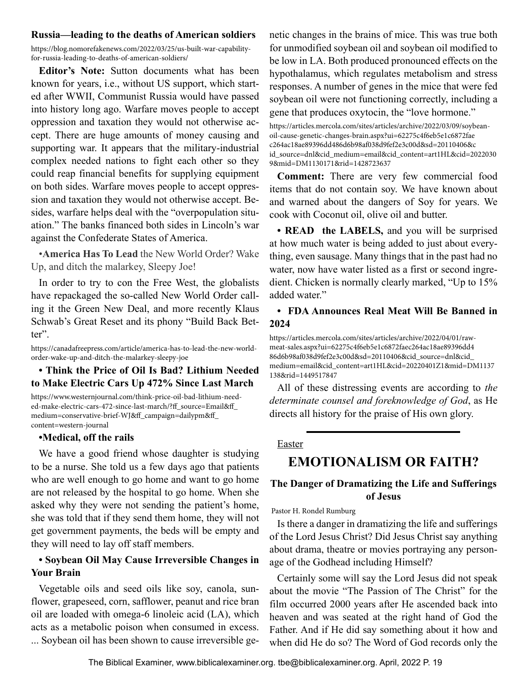#### <span id="page-18-0"></span>**Russia—leading to the deaths of American soldiers**

https://blog.nomorefakenews.com/2022/03/25/us-built-war-capabilityfor-russia-leading-to-deaths-of-american-soldiers/

**Editor's Note:** Sutton documents what has been known for years, i.e., without US support, which started after WWII, Communist Russia would have passed into history long ago. Warfare moves people to accept oppression and taxation they would not otherwise accept. There are huge amounts of money causing and supporting war. It appears that the military-industrial complex needed nations to fight each other so they could reap financial benefits for supplying equipment on both sides. Warfare moves people to accept oppression and taxation they would not otherwise accept. Besides, warfare helps deal with the "overpopulation situation." The banks financed both sides in Lincoln's war against the Confederate States of America.

•**America Has To Lead** the New World Order? Wake Up, and ditch the malarkey, Sleepy Joe!

In order to try to con the Free West, the globalists have repackaged the so-called New World Order calling it the Green New Deal, and more recently Klaus Schwab's Great Reset and its phony "Build Back Better".

https://canadafreepress.com/article/america-has-to-lead-the-new-worldorder-wake-up-and-ditch-the-malarkey-sleepy-joe

### **• Think the Price of Oil Is Bad? Lithium Needed to Make Electric Cars Up 472% Since Last March**

https://www.westernjournal.com/think-price-oil-bad-lithium-needed-make-electric-cars-472-since-last-march/?ff\_source=Email&ff\_ medium=conservative-brief-WJ&ff\_campaign=dailypm&ff\_ content=western-journal

#### **•Medical, off the rails**

We have a good friend whose daughter is studying to be a nurse. She told us a few days ago that patients who are well enough to go home and want to go home are not released by the hospital to go home. When she asked why they were not sending the patient's home, she was told that if they send them home, they will not get government payments, the beds will be empty and they will need to lay off staff members.

### **• Soybean Oil May Cause Irreversible Changes in Your Brain**

Vegetable oils and seed oils like soy, canola, sunflower, grapeseed, corn, safflower, peanut and rice bran oil are loaded with omega-6 linoleic acid (LA), which acts as a metabolic poison when consumed in excess. ... Soybean oil has been shown to cause irreversible genetic changes in the brains of mice. This was true both for unmodified soybean oil and soybean oil modified to be low in LA. Both produced pronounced effects on the hypothalamus, which regulates metabolism and stress responses. A number of genes in the mice that were fed soybean oil were not functioning correctly, including a gene that produces oxytocin, the "love hormone."

https://articles.mercola.com/sites/articles/archive/2022/03/09/soybeanoil-cause-genetic-changes-brain.aspx?ui=62275c4f6eb5e1c6872fae c264ac18ae89396dd486d6b98af038d9fef2e3c00d&sd=20110406&c id\_source=dnl&cid\_medium=email&cid\_content=art1HL&cid=2022030 9&mid=DM1130171&rid=1428723637

**Comment:** There are very few commercial food items that do not contain soy. We have known about and warned about the dangers of Soy for years. We cook with Coconut oil, olive oil and butter.

**• READ the LABELS,** and you will be surprised at how much water is being added to just about everything, even sausage. Many things that in the past had no water, now have water listed as a first or second ingredient. Chicken is normally clearly marked, "Up to 15% added water."

### **• FDA Announces Real Meat Will Be Banned in 2024**

https://articles.mercola.com/sites/articles/archive/2022/04/01/rawmeat-sales.aspx?ui=62275c4f6eb5e1c6872faec264ac18ae89396dd4 86d6b98af038d9fef2e3c00d&sd=20110406&cid\_source=dnl&cid\_ medium=email&cid\_content=art1HL&cid=20220401Z1&mid=DM1137 138&rid=1449517847

All of these distressing events are according to *the determinate counsel and foreknowledge of God*, as He directs all history for the praise of His own glory.

#### Easter

# **EMOTIONALISM OR FAITH?**

# **The Danger of Dramatizing the Life and Sufferings of Jesus**

Pastor H. Rondel Rumburg

Is there a danger in dramatizing the life and sufferings of the Lord Jesus Christ? Did Jesus Christ say anything about drama, theatre or movies portraying any personage of the Godhead including Himself?

Certainly some will say the Lord Jesus did not speak about the movie "The Passion of The Christ" for the film occurred 2000 years after He ascended back into heaven and was seated at the right hand of God the Father. And if He did say something about it how and when did He do so? The Word of God records only the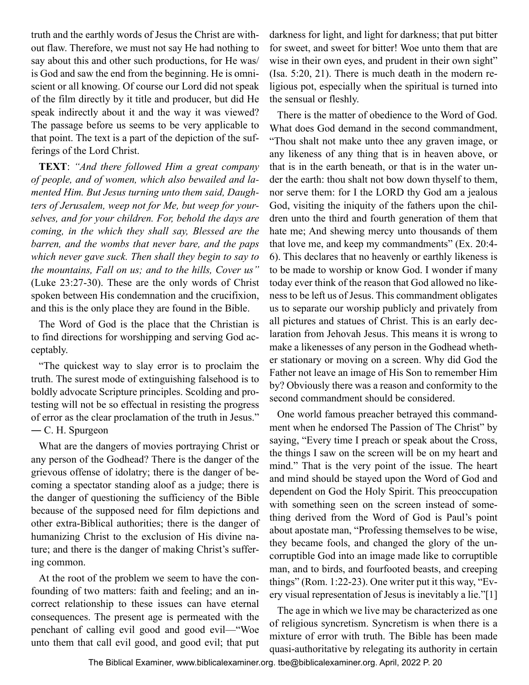truth and the earthly words of Jesus the Christ are without flaw. Therefore, we must not say He had nothing to say about this and other such productions, for He was/ is God and saw the end from the beginning. He is omniscient or all knowing. Of course our Lord did not speak of the film directly by it title and producer, but did He speak indirectly about it and the way it was viewed? The passage before us seems to be very applicable to that point. The text is a part of the depiction of the sufferings of the Lord Christ.

**TEXT**: *"And there followed Him a great company of people, and of women, which also bewailed and lamented Him. But Jesus turning unto them said, Daughters of Jerusalem, weep not for Me, but weep for yourselves, and for your children. For, behold the days are coming, in the which they shall say, Blessed are the barren, and the wombs that never bare, and the paps which never gave suck. Then shall they begin to say to the mountains, Fall on us; and to the hills, Cover us"* (Luke 23:27-30). These are the only words of Christ spoken between His condemnation and the crucifixion, and this is the only place they are found in the Bible.

The Word of God is the place that the Christian is to find directions for worshipping and serving God acceptably.

"The quickest way to slay error is to proclaim the truth. The surest mode of extinguishing falsehood is to boldly advocate Scripture principles. Scolding and protesting will not be so effectual in resisting the progress of error as the clear proclamation of the truth in Jesus." ― C. H. Spurgeon

What are the dangers of movies portraying Christ or any person of the Godhead? There is the danger of the grievous offense of idolatry; there is the danger of becoming a spectator standing aloof as a judge; there is the danger of questioning the sufficiency of the Bible because of the supposed need for film depictions and other extra-Biblical authorities; there is the danger of humanizing Christ to the exclusion of His divine nature; and there is the danger of making Christ's suffering common.

At the root of the problem we seem to have the confounding of two matters: faith and feeling; and an incorrect relationship to these issues can have eternal consequences. The present age is permeated with the penchant of calling evil good and good evil—"Woe unto them that call evil good, and good evil; that put darkness for light, and light for darkness; that put bitter for sweet, and sweet for bitter! Woe unto them that are wise in their own eyes, and prudent in their own sight" (Isa. 5:20, 21). There is much death in the modern religious pot, especially when the spiritual is turned into the sensual or fleshly.

There is the matter of obedience to the Word of God. What does God demand in the second commandment, "Thou shalt not make unto thee any graven image, or any likeness of any thing that is in heaven above, or that is in the earth beneath, or that is in the water under the earth: thou shalt not bow down thyself to them, nor serve them: for I the LORD thy God am a jealous God, visiting the iniquity of the fathers upon the children unto the third and fourth generation of them that hate me; And shewing mercy unto thousands of them that love me, and keep my commandments" (Ex. 20:4- 6). This declares that no heavenly or earthly likeness is to be made to worship or know God. I wonder if many today ever think of the reason that God allowed no likeness to be left us of Jesus. This commandment obligates us to separate our worship publicly and privately from all pictures and statues of Christ. This is an early declaration from Jehovah Jesus. This means it is wrong to make a likenesses of any person in the Godhead whether stationary or moving on a screen. Why did God the Father not leave an image of His Son to remember Him by? Obviously there was a reason and conformity to the second commandment should be considered.

One world famous preacher betrayed this commandment when he endorsed The Passion of The Christ" by saying, "Every time I preach or speak about the Cross, the things I saw on the screen will be on my heart and mind." That is the very point of the issue. The heart and mind should be stayed upon the Word of God and dependent on God the Holy Spirit. This preoccupation with something seen on the screen instead of something derived from the Word of God is Paul's point about apostate man, "Professing themselves to be wise, they became fools, and changed the glory of the uncorruptible God into an image made like to corruptible man, and to birds, and fourfooted beasts, and creeping things" (Rom. 1:22-23). One writer put it this way, "Every visual representation of Jesus is inevitably a lie."[1]

The age in which we live may be characterized as one of religious syncretism. Syncretism is when there is a mixture of error with truth. The Bible has been made quasi-authoritative by relegating its authority in certain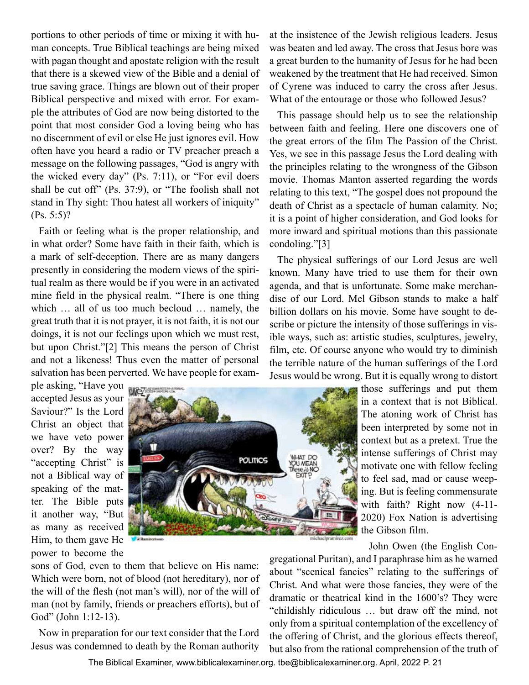portions to other periods of time or mixing it with human concepts. True Biblical teachings are being mixed with pagan thought and apostate religion with the result that there is a skewed view of the Bible and a denial of true saving grace. Things are blown out of their proper Biblical perspective and mixed with error. For example the attributes of God are now being distorted to the point that most consider God a loving being who has no discernment of evil or else He just ignores evil. How often have you heard a radio or TV preacher preach a message on the following passages, "God is angry with the wicked every day" (Ps. 7:11), or "For evil doers shall be cut off" (Ps. 37:9), or "The foolish shall not stand in Thy sight: Thou hatest all workers of iniquity" (Ps. 5:5)?

Faith or feeling what is the proper relationship, and in what order? Some have faith in their faith, which is a mark of self-deception. There are as many dangers presently in considering the modern views of the spiritual realm as there would be if you were in an activated mine field in the physical realm. "There is one thing which … all of us too much becloud … namely, the great truth that it is not prayer, it is not faith, it is not our doings, it is not our feelings upon which we must rest, but upon Christ."[2] This means the person of Christ and not a likeness! Thus even the matter of personal salvation has been perverted. We have people for examat the insistence of the Jewish religious leaders. Jesus was beaten and led away. The cross that Jesus bore was a great burden to the humanity of Jesus for he had been weakened by the treatment that He had received. Simon of Cyrene was induced to carry the cross after Jesus. What of the entourage or those who followed Jesus?

This passage should help us to see the relationship between faith and feeling. Here one discovers one of the great errors of the film The Passion of the Christ. Yes, we see in this passage Jesus the Lord dealing with the principles relating to the wrongness of the Gibson movie. Thomas Manton asserted regarding the words relating to this text, "The gospel does not propound the death of Christ as a spectacle of human calamity. No; it is a point of higher consideration, and God looks for more inward and spiritual motions than this passionate condoling."[3]

The physical sufferings of our Lord Jesus are well known. Many have tried to use them for their own agenda, and that is unfortunate. Some make merchandise of our Lord. Mel Gibson stands to make a half billion dollars on his movie. Some have sought to describe or picture the intensity of those sufferings in visible ways, such as: artistic studies, sculptures, jewelry, film, etc. Of course anyone who would try to diminish the terrible nature of the human sufferings of the Lord Jesus would be wrong. But it is equally wrong to distort

ple asking, "Have you accepted Jesus as your Saviour?" Is the Lord Christ an object that we have veto power over? By the way "accepting Christ" is not a Biblical way of speaking of the matter. The Bible puts it another way, "But as many as received Him, to them gave He power to become the



those sufferings and put them in a context that is not Biblical. The atoning work of Christ has been interpreted by some not in context but as a pretext. True the intense sufferings of Christ may motivate one with fellow feeling to feel sad, mad or cause weeping. But is feeling commensurate with faith? Right now (4-11- 2020) Fox Nation is advertising the Gibson film.

John Owen (the English Con-

sons of God, even to them that believe on His name: Which were born, not of blood (not hereditary), nor of the will of the flesh (not man's will), nor of the will of man (not by family, friends or preachers efforts), but of God" (John 1:12-13).

Now in preparation for our text consider that the Lord Jesus was condemned to death by the Roman authority gregational Puritan), and I paraphrase him as he warned about "scenical fancies" relating to the sufferings of Christ. And what were those fancies, they were of the dramatic or theatrical kind in the 1600's? They were "childishly ridiculous … but draw off the mind, not only from a spiritual contemplation of the excellency of the offering of Christ, and the glorious effects thereof, but also from the rational comprehension of the truth of

The Biblical Examiner,<www.biblicalexaminer.org>. [tbe@biblicalexaminer.org](mailto:tbe@biblicalexaminer.org). April, 2022 P. 21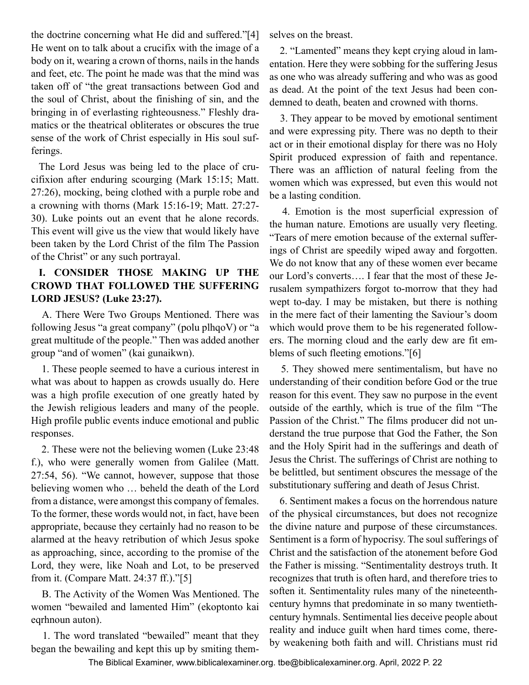the doctrine concerning what He did and suffered."[4] He went on to talk about a crucifix with the image of a body on it, wearing a crown of thorns, nails in the hands and feet, etc. The point he made was that the mind was taken off of "the great transactions between God and the soul of Christ, about the finishing of sin, and the bringing in of everlasting righteousness." Fleshly dramatics or the theatrical obliterates or obscures the true sense of the work of Christ especially in His soul sufferings.

The Lord Jesus was being led to the place of crucifixion after enduring scourging (Mark 15:15; Matt. 27:26), mocking, being clothed with a purple robe and a crowning with thorns (Mark 15:16-19; Matt. 27:27- 30). Luke points out an event that he alone records. This event will give us the view that would likely have been taken by the Lord Christ of the film The Passion of the Christ" or any such portrayal.

# **I. CONSIDER THOSE MAKING UP THE CROWD THAT FOLLOWED THE SUFFERING LORD JESUS? (Luke 23:27).**

 A. There Were Two Groups Mentioned. There was following Jesus "a great company" (polu plhqoV) or "a great multitude of the people." Then was added another group "and of women" (kai gunaikwn).

 1. These people seemed to have a curious interest in what was about to happen as crowds usually do. Here was a high profile execution of one greatly hated by the Jewish religious leaders and many of the people. High profile public events induce emotional and public responses.

 2. These were not the believing women (Luke 23:48 f.), who were generally women from Galilee (Matt. 27:54, 56). "We cannot, however, suppose that those believing women who … beheld the death of the Lord from a distance, were amongst this company of females. To the former, these words would not, in fact, have been appropriate, because they certainly had no reason to be alarmed at the heavy retribution of which Jesus spoke as approaching, since, according to the promise of the Lord, they were, like Noah and Lot, to be preserved from it. (Compare Matt. 24:37 ff.)."[5]

 B. The Activity of the Women Was Mentioned. The women "bewailed and lamented Him" (ekoptonto kai eqrhnoun auton).

 1. The word translated "bewailed" meant that they began the bewailing and kept this up by smiting themselves on the breast.

 2. "Lamented" means they kept crying aloud in lamentation. Here they were sobbing for the suffering Jesus as one who was already suffering and who was as good as dead. At the point of the text Jesus had been condemned to death, beaten and crowned with thorns.

 3. They appear to be moved by emotional sentiment and were expressing pity. There was no depth to their act or in their emotional display for there was no Holy Spirit produced expression of faith and repentance. There was an affliction of natural feeling from the women which was expressed, but even this would not be a lasting condition.

 4. Emotion is the most superficial expression of the human nature. Emotions are usually very fleeting. "Tears of mere emotion because of the external sufferings of Christ are speedily wiped away and forgotten. We do not know that any of these women ever became our Lord's converts…. I fear that the most of these Jerusalem sympathizers forgot to-morrow that they had wept to-day. I may be mistaken, but there is nothing in the mere fact of their lamenting the Saviour's doom which would prove them to be his regenerated followers. The morning cloud and the early dew are fit emblems of such fleeting emotions."[6]

 5. They showed mere sentimentalism, but have no understanding of their condition before God or the true reason for this event. They saw no purpose in the event outside of the earthly, which is true of the film "The Passion of the Christ." The films producer did not understand the true purpose that God the Father, the Son and the Holy Spirit had in the sufferings and death of Jesus the Christ. The sufferings of Christ are nothing to be belittled, but sentiment obscures the message of the substitutionary suffering and death of Jesus Christ.

 6. Sentiment makes a focus on the horrendous nature of the physical circumstances, but does not recognize the divine nature and purpose of these circumstances. Sentiment is a form of hypocrisy. The soul sufferings of Christ and the satisfaction of the atonement before God the Father is missing. "Sentimentality destroys truth. It recognizes that truth is often hard, and therefore tries to soften it. Sentimentality rules many of the nineteenthcentury hymns that predominate in so many twentiethcentury hymnals. Sentimental lies deceive people about reality and induce guilt when hard times come, thereby weakening both faith and will. Christians must rid

The Biblical Examiner,<www.biblicalexaminer.org>. [tbe@biblicalexaminer.org](mailto:tbe@biblicalexaminer.org). April, 2022 P. 22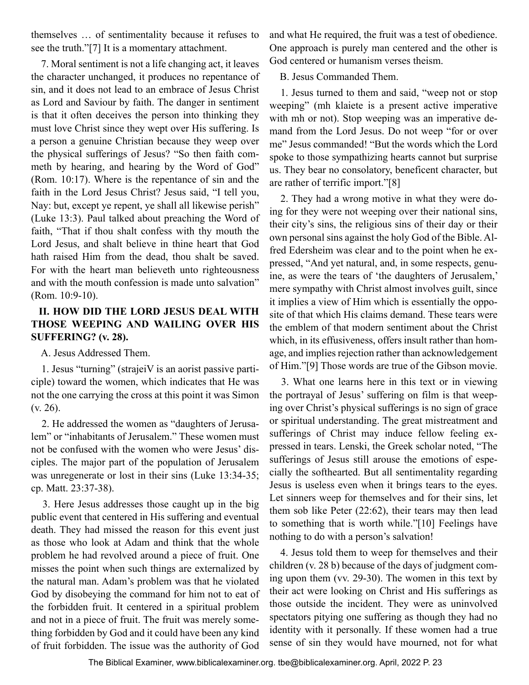themselves … of sentimentality because it refuses to see the truth."[7] It is a momentary attachment.

 7. Moral sentiment is not a life changing act, it leaves the character unchanged, it produces no repentance of sin, and it does not lead to an embrace of Jesus Christ as Lord and Saviour by faith. The danger in sentiment is that it often deceives the person into thinking they must love Christ since they wept over His suffering. Is a person a genuine Christian because they weep over the physical sufferings of Jesus? "So then faith commeth by hearing, and hearing by the Word of God" (Rom. 10:17). Where is the repentance of sin and the faith in the Lord Jesus Christ? Jesus said, "I tell you, Nay: but, except ye repent, ye shall all likewise perish" (Luke 13:3). Paul talked about preaching the Word of faith, "That if thou shalt confess with thy mouth the Lord Jesus, and shalt believe in thine heart that God hath raised Him from the dead, thou shalt be saved. For with the heart man believeth unto righteousness and with the mouth confession is made unto salvation" (Rom. 10:9-10).

# **II. HOW DID THE LORD JESUS DEAL WITH THOSE WEEPING AND WAILING OVER HIS SUFFERING? (v. 28).**

A. Jesus Addressed Them.

 1. Jesus "turning" (strajeiV is an aorist passive participle) toward the women, which indicates that He was not the one carrying the cross at this point it was Simon (v. 26).

 2. He addressed the women as "daughters of Jerusalem" or "inhabitants of Jerusalem." These women must not be confused with the women who were Jesus' disciples. The major part of the population of Jerusalem was unregenerate or lost in their sins (Luke 13:34-35; cp. Matt. 23:37-38).

 3. Here Jesus addresses those caught up in the big public event that centered in His suffering and eventual death. They had missed the reason for this event just as those who look at Adam and think that the whole problem he had revolved around a piece of fruit. One misses the point when such things are externalized by the natural man. Adam's problem was that he violated God by disobeying the command for him not to eat of the forbidden fruit. It centered in a spiritual problem and not in a piece of fruit. The fruit was merely something forbidden by God and it could have been any kind of fruit forbidden. The issue was the authority of God

and what He required, the fruit was a test of obedience. One approach is purely man centered and the other is God centered or humanism verses theism.

B. Jesus Commanded Them.

 1. Jesus turned to them and said, "weep not or stop weeping" (mh klaiete is a present active imperative with mh or not). Stop weeping was an imperative demand from the Lord Jesus. Do not weep "for or over me" Jesus commanded! "But the words which the Lord spoke to those sympathizing hearts cannot but surprise us. They bear no consolatory, beneficent character, but are rather of terrific import."[8]

 2. They had a wrong motive in what they were doing for they were not weeping over their national sins, their city's sins, the religious sins of their day or their own personal sins against the holy God of the Bible. Alfred Edersheim was clear and to the point when he expressed, "And yet natural, and, in some respects, genuine, as were the tears of 'the daughters of Jerusalem,' mere sympathy with Christ almost involves guilt, since it implies a view of Him which is essentially the opposite of that which His claims demand. These tears were the emblem of that modern sentiment about the Christ which, in its effusiveness, offers insult rather than homage, and implies rejection rather than acknowledgement of Him."[9] Those words are true of the Gibson movie.

 3. What one learns here in this text or in viewing the portrayal of Jesus' suffering on film is that weeping over Christ's physical sufferings is no sign of grace or spiritual understanding. The great mistreatment and sufferings of Christ may induce fellow feeling expressed in tears. Lenski, the Greek scholar noted, "The sufferings of Jesus still arouse the emotions of especially the softhearted. But all sentimentality regarding Jesus is useless even when it brings tears to the eyes. Let sinners weep for themselves and for their sins, let them sob like Peter (22:62), their tears may then lead to something that is worth while."[10] Feelings have nothing to do with a person's salvation!

 4. Jesus told them to weep for themselves and their children (v. 28 b) because of the days of judgment coming upon them (vv. 29-30). The women in this text by their act were looking on Christ and His sufferings as those outside the incident. They were as uninvolved spectators pitying one suffering as though they had no identity with it personally. If these women had a true sense of sin they would have mourned, not for what